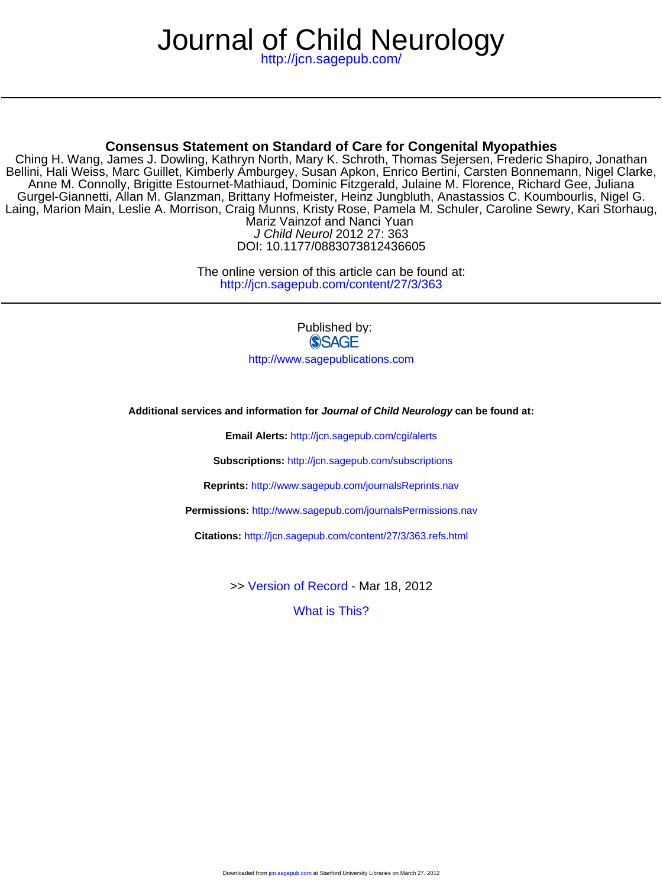# Journal of Child Neurology

<http://jcn.sagepub.com/>

# **Consensus Statement on Standard of Care for Congenital Myopathies**

Mariz Vainzof and Nanci Yuan Laing, Marion Main, Leslie A. Morrison, Craig Munns, Kristy Rose, Pamela M. Schuler, Caroline Sewry, Kari Storhaug, Gurgel-Giannetti, Allan M. Glanzman, Brittany Hofmeister, Heinz Jungbluth, Anastassios C. Koumbourlis, Nigel G. Anne M. Connolly, Brigitte Estournet-Mathiaud, Dominic Fitzgerald, Julaine M. Florence, Richard Gee, Juliana Bellini, Hali Weiss, Marc Guillet, Kimberly Amburgey, Susan Apkon, Enrico Bertini, Carsten Bonnemann, Nigel Clarke, Ching H. Wang, James J. Dowling, Kathryn North, Mary K. Schroth, Thomas Sejersen, Frederic Shapiro, Jonathan

DOI: 10.1177/0883073812436605 J Child Neurol 2012 27: 363

<http://jcn.sagepub.com/content/27/3/363> The online version of this article can be found at:

> Published by: **SSAGE**

<http://www.sagepublications.com>

**Additional services and information for Journal of Child Neurology can be found at:**

**Email Alerts:** <http://jcn.sagepub.com/cgi/alerts>

**Subscriptions:** <http://jcn.sagepub.com/subscriptions>

**Reprints:** <http://www.sagepub.com/journalsReprints.nav>

**Permissions:** <http://www.sagepub.com/journalsPermissions.nav>

**Citations:** <http://jcn.sagepub.com/content/27/3/363.refs.html>

>> [Version of Record -](http://jcn.sagepub.com/content/27/3/363.full.pdf) Mar 18, 2012

[What is This?](http://online.sagepub.com/site/sphelp/vorhelp.xhtml)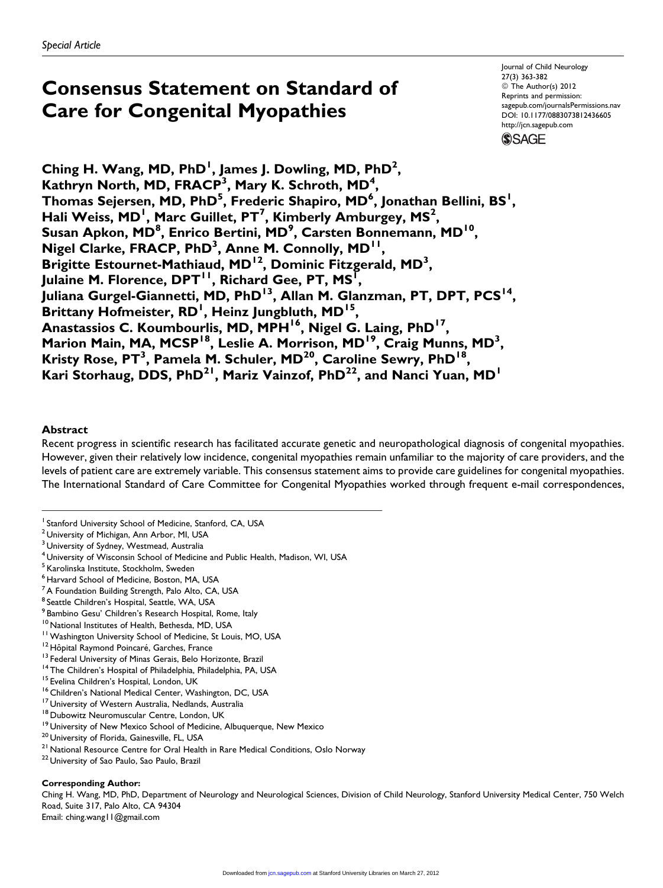# Consensus Statement on Standard of Care for Congenital Myopathies

Journal of Child Neurology 27(3) 363-382 © The Author(s) 2012 Reprints and permission: sagepub.com/journalsPermissions.nav DOI: 10.1177/0883073812436605 http://jcn.sagepub.com **SSAGE** 

Ching H. Wang, MD, PhD<sup>1</sup>, James J. Dowling, MD, PhD<sup>2</sup>, Kathryn North, MD, FRACP<sup>3</sup>, Mary K. Schroth, MD<sup>4</sup>, Thomas Sejersen, MD, PhD $^5$ , Frederic Shapiro, MD $^6$ , Jonathan Bellini, BS $^{\mathsf{l}}$ , Hali Weiss, MD<sup>1</sup>, Marc Guillet, PT<sup>7</sup>, Kimberly Amburgey, MS<sup>2</sup>, Susan Apkon, MD<sup>8</sup>, Enrico Bertini, MD<sup>9</sup>, Carsten Bonnemann, MD<sup>10</sup>, Nigel Clarke, FRACP, PhD<sup>3</sup>, Anne M. Connolly, MD<sup>11</sup>, Brigitte Estournet-Mathiaud, MD<sup>12</sup>, Dominic Fitzgerald, MD<sup>3</sup>, Julaine M. Florence, DPT<sup>II</sup>, Richard Gee, PT, MS<sup>T</sup>, Juliana Gurgel-Giannetti, MD, PhD<sup>13</sup>, Allan M. Glanzman, PT, DPT, PCS<sup>14</sup>, Brittany Hofmeister, RD<sup>I</sup>, Heinz Jungbluth, MD<sup>15</sup>, Anastassios C. Koumbourlis, MD, MPH<sup>16</sup>, Nigel G. Laing, PhD<sup>17</sup>, Marion Main, MA, MCSP<sup>18</sup>, Leslie A. Morrison, MD<sup>19</sup>, Craig Munns, MD<sup>3</sup>, Kristy Rose, PT<sup>3</sup>, Pamela M. Schuler, MD<sup>20</sup>, Caroline Sewry, PhD<sup>18</sup>, Kari Storhaug, DDS, PhD<sup>21</sup>, Mariz Vainzof, PhD<sup>22</sup>, and Nanci Yuan, MD<sup>1</sup>

#### Abstract

Recent progress in scientific research has facilitated accurate genetic and neuropathological diagnosis of congenital myopathies. However, given their relatively low incidence, congenital myopathies remain unfamiliar to the majority of care providers, and the levels of patient care are extremely variable. This consensus statement aims to provide care guidelines for congenital myopathies. The International Standard of Care Committee for Congenital Myopathies worked through frequent e-mail correspondences,

#### Corresponding Author:

Ching H. Wang, MD, PhD, Department of Neurology and Neurological Sciences, Division of Child Neurology, Stanford University Medical Center, 750 Welch Road, Suite 317, Palo Alto, CA 94304

Email: ching.wang11@gmail.com

<sup>&</sup>lt;sup>1</sup> Stanford University School of Medicine, Stanford, CA, USA

 $2$  University of Michigan, Ann Arbor, MI, USA

<sup>&</sup>lt;sup>3</sup> University of Sydney, Westmead, Australia

 $^4$ University of Wisconsin School of Medicine and Public Health, Madison, WI, USA

<sup>&</sup>lt;sup>5</sup> Karolinska Institute, Stockholm, Sweden

<sup>6</sup> Harvard School of Medicine, Boston, MA, USA

<sup>&</sup>lt;sup>7</sup> A Foundation Building Strength, Palo Alto, CA, USA

<sup>&</sup>lt;sup>8</sup> Seattle Children's Hospital, Seattle, WA, USA

<sup>&</sup>lt;sup>9</sup> Bambino Gesu' Children's Research Hospital, Rome, Italy

<sup>&</sup>lt;sup>10</sup> National Institutes of Health, Bethesda, MD, USA<br><sup>11</sup> Washington University School of Medicine, St Louis, MO, USA<br><sup>12</sup> Hôpital Raymond Poincaré, Garches, France<br><sup>13</sup> Federal University of Minas Gerais, Belo Horizonte,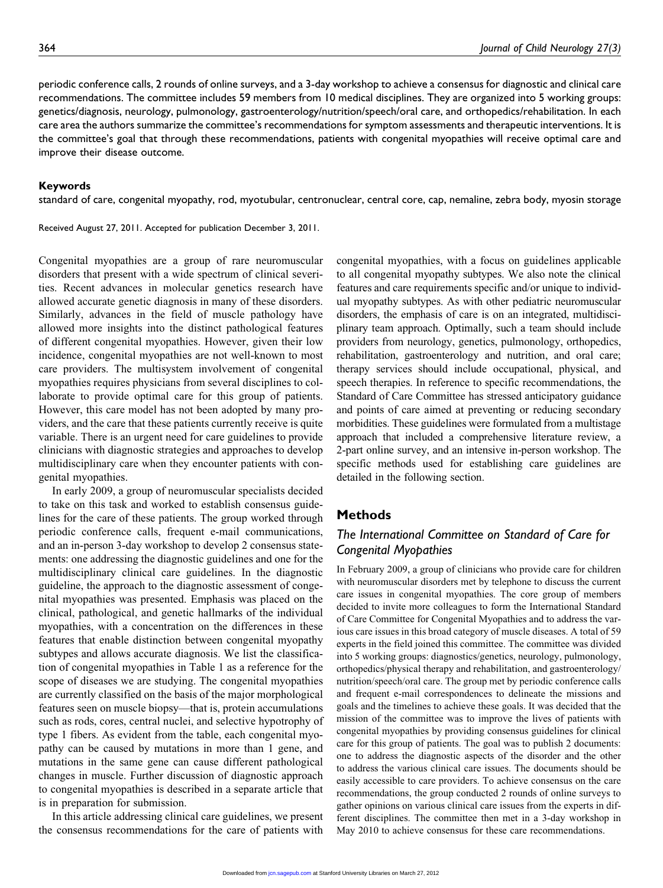periodic conference calls, 2 rounds of online surveys, and a 3-day workshop to achieve a consensus for diagnostic and clinical care recommendations. The committee includes 59 members from 10 medical disciplines. They are organized into 5 working groups: genetics/diagnosis, neurology, pulmonology, gastroenterology/nutrition/speech/oral care, and orthopedics/rehabilitation. In each care area the authors summarize the committee's recommendations for symptom assessments and therapeutic interventions. It is the committee's goal that through these recommendations, patients with congenital myopathies will receive optimal care and improve their disease outcome.

#### Keywords

standard of care, congenital myopathy, rod, myotubular, centronuclear, central core, cap, nemaline, zebra body, myosin storage

Received August 27, 2011. Accepted for publication December 3, 2011.

Congenital myopathies are a group of rare neuromuscular disorders that present with a wide spectrum of clinical severities. Recent advances in molecular genetics research have allowed accurate genetic diagnosis in many of these disorders. Similarly, advances in the field of muscle pathology have allowed more insights into the distinct pathological features of different congenital myopathies. However, given their low incidence, congenital myopathies are not well-known to most care providers. The multisystem involvement of congenital myopathies requires physicians from several disciplines to collaborate to provide optimal care for this group of patients. However, this care model has not been adopted by many providers, and the care that these patients currently receive is quite variable. There is an urgent need for care guidelines to provide clinicians with diagnostic strategies and approaches to develop multidisciplinary care when they encounter patients with congenital myopathies.

In early 2009, a group of neuromuscular specialists decided to take on this task and worked to establish consensus guidelines for the care of these patients. The group worked through periodic conference calls, frequent e-mail communications, and an in-person 3-day workshop to develop 2 consensus statements: one addressing the diagnostic guidelines and one for the multidisciplinary clinical care guidelines. In the diagnostic guideline, the approach to the diagnostic assessment of congenital myopathies was presented. Emphasis was placed on the clinical, pathological, and genetic hallmarks of the individual myopathies, with a concentration on the differences in these features that enable distinction between congenital myopathy subtypes and allows accurate diagnosis. We list the classification of congenital myopathies in Table 1 as a reference for the scope of diseases we are studying. The congenital myopathies are currently classified on the basis of the major morphological features seen on muscle biopsy—that is, protein accumulations such as rods, cores, central nuclei, and selective hypotrophy of type 1 fibers. As evident from the table, each congenital myopathy can be caused by mutations in more than 1 gene, and mutations in the same gene can cause different pathological changes in muscle. Further discussion of diagnostic approach to congenital myopathies is described in a separate article that is in preparation for submission.

In this article addressing clinical care guidelines, we present the consensus recommendations for the care of patients with

congenital myopathies, with a focus on guidelines applicable to all congenital myopathy subtypes. We also note the clinical features and care requirements specific and/or unique to individual myopathy subtypes. As with other pediatric neuromuscular disorders, the emphasis of care is on an integrated, multidisciplinary team approach. Optimally, such a team should include providers from neurology, genetics, pulmonology, orthopedics, rehabilitation, gastroenterology and nutrition, and oral care; therapy services should include occupational, physical, and speech therapies. In reference to specific recommendations, the Standard of Care Committee has stressed anticipatory guidance and points of care aimed at preventing or reducing secondary morbidities. These guidelines were formulated from a multistage approach that included a comprehensive literature review, a 2-part online survey, and an intensive in-person workshop. The specific methods used for establishing care guidelines are detailed in the following section.

#### **Methods**

# The International Committee on Standard of Care for Congenital Myopathies

In February 2009, a group of clinicians who provide care for children with neuromuscular disorders met by telephone to discuss the current care issues in congenital myopathies. The core group of members decided to invite more colleagues to form the International Standard of Care Committee for Congenital Myopathies and to address the various care issues in this broad category of muscle diseases. A total of 59 experts in the field joined this committee. The committee was divided into 5 working groups: diagnostics/genetics, neurology, pulmonology, orthopedics/physical therapy and rehabilitation, and gastroenterology/ nutrition/speech/oral care. The group met by periodic conference calls and frequent e-mail correspondences to delineate the missions and goals and the timelines to achieve these goals. It was decided that the mission of the committee was to improve the lives of patients with congenital myopathies by providing consensus guidelines for clinical care for this group of patients. The goal was to publish 2 documents: one to address the diagnostic aspects of the disorder and the other to address the various clinical care issues. The documents should be easily accessible to care providers. To achieve consensus on the care recommendations, the group conducted 2 rounds of online surveys to gather opinions on various clinical care issues from the experts in different disciplines. The committee then met in a 3-day workshop in May 2010 to achieve consensus for these care recommendations.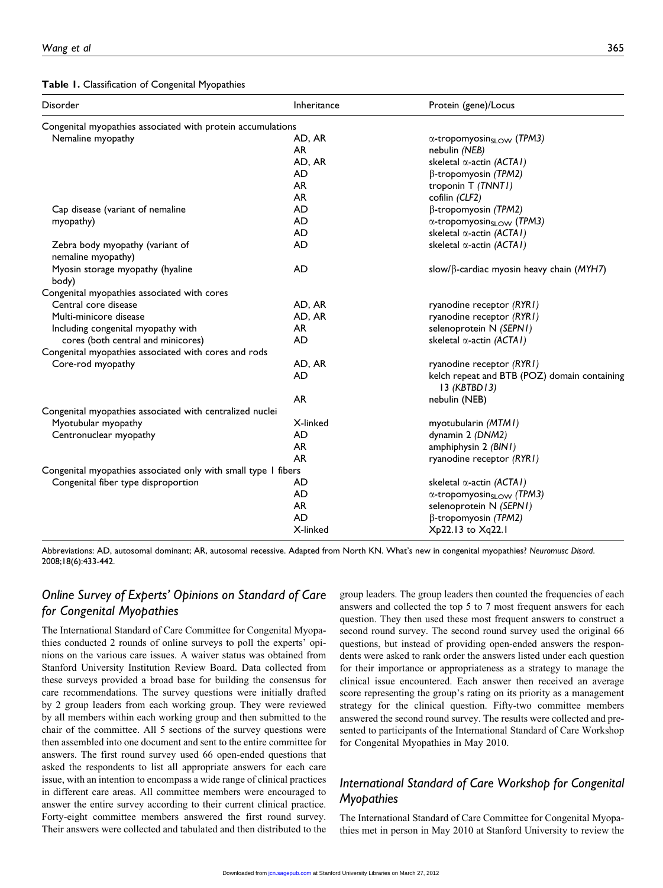#### Table 1. Classification of Congenital Myopathies

| Congenital myopathies associated with protein accumulations<br>Nemaline myopathy<br>AD, AR<br>$\alpha$ -tropomyosinsLow (TPM3)<br>AR<br>nebulin (NEB)<br>AD, AR<br>skeletal $\alpha$ -actin (ACTA1)<br>AD<br>β-tropomyosin (TPM2)<br>AR<br>troponin T (TNNTI)<br>AR<br>cofilin (CLF2)<br><b>AD</b><br>$\beta$ -tropomyosin (TPM2)<br>Cap disease (variant of nemaline<br><b>AD</b><br>α-tropomyosin <sub>SLOW</sub> (TPM3)<br>myopathy)<br>AD<br>skeletal $\alpha$ -actin (ACTA1)<br><b>AD</b><br>Zebra body myopathy (variant of<br>skeletal $\alpha$ -actin (ACTA1)<br>nemaline myopathy)<br><b>AD</b><br>Myosin storage myopathy (hyaline<br>slow/ $\beta$ -cardiac myosin heavy chain (MYH7)<br>body)<br>Congenital myopathies associated with cores<br>Central core disease<br>AD, AR<br>ryanodine receptor (RYR1)<br>Multi-minicore disease<br>ryanodine receptor (RYR1)<br>AD, AR<br>selenoprotein N (SEPN1)<br>Including congenital myopathy with<br>AR.<br>cores (both central and minicores)<br>AD<br>skeletal $\alpha$ -actin (ACTA1)<br>Congenital myopathies associated with cores and rods<br>Core-rod myopathy<br>AD, AR<br>ryanodine receptor (RYR1)<br><b>AD</b><br>kelch repeat and BTB (POZ) domain containing<br>$13$ (KBTBD13)<br>AR<br>nebulin (NEB)<br>Congenital myopathies associated with centralized nuclei<br>Myotubular myopathy<br>X-linked<br>myotubularin (MTM1)<br>Centronuclear myopathy<br><b>AD</b><br>dynamin 2 (DNM2)<br><b>AR</b><br>amphiphysin 2 (BIN1)<br><b>AR</b><br>ryanodine receptor (RYR1)<br>Congenital myopathies associated only with small type I fibers<br>Congenital fiber type disproportion<br>AD<br>skeletal $\alpha$ -actin (ACTA1)<br>AD<br>$\alpha$ -tropomyosin <sub>sLOW</sub> (TPM3)<br>AR<br>selenoprotein N (SEPNI)<br><b>AD</b><br>$\beta$ -tropomyosin (TPM2)<br>X-linked<br>Xp22.13 to Xq22.1 | <b>Disorder</b> | Inheritance | Protein (gene)/Locus |  |
|-------------------------------------------------------------------------------------------------------------------------------------------------------------------------------------------------------------------------------------------------------------------------------------------------------------------------------------------------------------------------------------------------------------------------------------------------------------------------------------------------------------------------------------------------------------------------------------------------------------------------------------------------------------------------------------------------------------------------------------------------------------------------------------------------------------------------------------------------------------------------------------------------------------------------------------------------------------------------------------------------------------------------------------------------------------------------------------------------------------------------------------------------------------------------------------------------------------------------------------------------------------------------------------------------------------------------------------------------------------------------------------------------------------------------------------------------------------------------------------------------------------------------------------------------------------------------------------------------------------------------------------------------------------------------------------------------------------------------------------------------------------------------------------------------------------------------------------------------------------------|-----------------|-------------|----------------------|--|
|                                                                                                                                                                                                                                                                                                                                                                                                                                                                                                                                                                                                                                                                                                                                                                                                                                                                                                                                                                                                                                                                                                                                                                                                                                                                                                                                                                                                                                                                                                                                                                                                                                                                                                                                                                                                                                                                   |                 |             |                      |  |
|                                                                                                                                                                                                                                                                                                                                                                                                                                                                                                                                                                                                                                                                                                                                                                                                                                                                                                                                                                                                                                                                                                                                                                                                                                                                                                                                                                                                                                                                                                                                                                                                                                                                                                                                                                                                                                                                   |                 |             |                      |  |
|                                                                                                                                                                                                                                                                                                                                                                                                                                                                                                                                                                                                                                                                                                                                                                                                                                                                                                                                                                                                                                                                                                                                                                                                                                                                                                                                                                                                                                                                                                                                                                                                                                                                                                                                                                                                                                                                   |                 |             |                      |  |
|                                                                                                                                                                                                                                                                                                                                                                                                                                                                                                                                                                                                                                                                                                                                                                                                                                                                                                                                                                                                                                                                                                                                                                                                                                                                                                                                                                                                                                                                                                                                                                                                                                                                                                                                                                                                                                                                   |                 |             |                      |  |
|                                                                                                                                                                                                                                                                                                                                                                                                                                                                                                                                                                                                                                                                                                                                                                                                                                                                                                                                                                                                                                                                                                                                                                                                                                                                                                                                                                                                                                                                                                                                                                                                                                                                                                                                                                                                                                                                   |                 |             |                      |  |
|                                                                                                                                                                                                                                                                                                                                                                                                                                                                                                                                                                                                                                                                                                                                                                                                                                                                                                                                                                                                                                                                                                                                                                                                                                                                                                                                                                                                                                                                                                                                                                                                                                                                                                                                                                                                                                                                   |                 |             |                      |  |
|                                                                                                                                                                                                                                                                                                                                                                                                                                                                                                                                                                                                                                                                                                                                                                                                                                                                                                                                                                                                                                                                                                                                                                                                                                                                                                                                                                                                                                                                                                                                                                                                                                                                                                                                                                                                                                                                   |                 |             |                      |  |
|                                                                                                                                                                                                                                                                                                                                                                                                                                                                                                                                                                                                                                                                                                                                                                                                                                                                                                                                                                                                                                                                                                                                                                                                                                                                                                                                                                                                                                                                                                                                                                                                                                                                                                                                                                                                                                                                   |                 |             |                      |  |
|                                                                                                                                                                                                                                                                                                                                                                                                                                                                                                                                                                                                                                                                                                                                                                                                                                                                                                                                                                                                                                                                                                                                                                                                                                                                                                                                                                                                                                                                                                                                                                                                                                                                                                                                                                                                                                                                   |                 |             |                      |  |
|                                                                                                                                                                                                                                                                                                                                                                                                                                                                                                                                                                                                                                                                                                                                                                                                                                                                                                                                                                                                                                                                                                                                                                                                                                                                                                                                                                                                                                                                                                                                                                                                                                                                                                                                                                                                                                                                   |                 |             |                      |  |
|                                                                                                                                                                                                                                                                                                                                                                                                                                                                                                                                                                                                                                                                                                                                                                                                                                                                                                                                                                                                                                                                                                                                                                                                                                                                                                                                                                                                                                                                                                                                                                                                                                                                                                                                                                                                                                                                   |                 |             |                      |  |
|                                                                                                                                                                                                                                                                                                                                                                                                                                                                                                                                                                                                                                                                                                                                                                                                                                                                                                                                                                                                                                                                                                                                                                                                                                                                                                                                                                                                                                                                                                                                                                                                                                                                                                                                                                                                                                                                   |                 |             |                      |  |
|                                                                                                                                                                                                                                                                                                                                                                                                                                                                                                                                                                                                                                                                                                                                                                                                                                                                                                                                                                                                                                                                                                                                                                                                                                                                                                                                                                                                                                                                                                                                                                                                                                                                                                                                                                                                                                                                   |                 |             |                      |  |
|                                                                                                                                                                                                                                                                                                                                                                                                                                                                                                                                                                                                                                                                                                                                                                                                                                                                                                                                                                                                                                                                                                                                                                                                                                                                                                                                                                                                                                                                                                                                                                                                                                                                                                                                                                                                                                                                   |                 |             |                      |  |
|                                                                                                                                                                                                                                                                                                                                                                                                                                                                                                                                                                                                                                                                                                                                                                                                                                                                                                                                                                                                                                                                                                                                                                                                                                                                                                                                                                                                                                                                                                                                                                                                                                                                                                                                                                                                                                                                   |                 |             |                      |  |
|                                                                                                                                                                                                                                                                                                                                                                                                                                                                                                                                                                                                                                                                                                                                                                                                                                                                                                                                                                                                                                                                                                                                                                                                                                                                                                                                                                                                                                                                                                                                                                                                                                                                                                                                                                                                                                                                   |                 |             |                      |  |
|                                                                                                                                                                                                                                                                                                                                                                                                                                                                                                                                                                                                                                                                                                                                                                                                                                                                                                                                                                                                                                                                                                                                                                                                                                                                                                                                                                                                                                                                                                                                                                                                                                                                                                                                                                                                                                                                   |                 |             |                      |  |
|                                                                                                                                                                                                                                                                                                                                                                                                                                                                                                                                                                                                                                                                                                                                                                                                                                                                                                                                                                                                                                                                                                                                                                                                                                                                                                                                                                                                                                                                                                                                                                                                                                                                                                                                                                                                                                                                   |                 |             |                      |  |
|                                                                                                                                                                                                                                                                                                                                                                                                                                                                                                                                                                                                                                                                                                                                                                                                                                                                                                                                                                                                                                                                                                                                                                                                                                                                                                                                                                                                                                                                                                                                                                                                                                                                                                                                                                                                                                                                   |                 |             |                      |  |
|                                                                                                                                                                                                                                                                                                                                                                                                                                                                                                                                                                                                                                                                                                                                                                                                                                                                                                                                                                                                                                                                                                                                                                                                                                                                                                                                                                                                                                                                                                                                                                                                                                                                                                                                                                                                                                                                   |                 |             |                      |  |
|                                                                                                                                                                                                                                                                                                                                                                                                                                                                                                                                                                                                                                                                                                                                                                                                                                                                                                                                                                                                                                                                                                                                                                                                                                                                                                                                                                                                                                                                                                                                                                                                                                                                                                                                                                                                                                                                   |                 |             |                      |  |
|                                                                                                                                                                                                                                                                                                                                                                                                                                                                                                                                                                                                                                                                                                                                                                                                                                                                                                                                                                                                                                                                                                                                                                                                                                                                                                                                                                                                                                                                                                                                                                                                                                                                                                                                                                                                                                                                   |                 |             |                      |  |
|                                                                                                                                                                                                                                                                                                                                                                                                                                                                                                                                                                                                                                                                                                                                                                                                                                                                                                                                                                                                                                                                                                                                                                                                                                                                                                                                                                                                                                                                                                                                                                                                                                                                                                                                                                                                                                                                   |                 |             |                      |  |
|                                                                                                                                                                                                                                                                                                                                                                                                                                                                                                                                                                                                                                                                                                                                                                                                                                                                                                                                                                                                                                                                                                                                                                                                                                                                                                                                                                                                                                                                                                                                                                                                                                                                                                                                                                                                                                                                   |                 |             |                      |  |
|                                                                                                                                                                                                                                                                                                                                                                                                                                                                                                                                                                                                                                                                                                                                                                                                                                                                                                                                                                                                                                                                                                                                                                                                                                                                                                                                                                                                                                                                                                                                                                                                                                                                                                                                                                                                                                                                   |                 |             |                      |  |
|                                                                                                                                                                                                                                                                                                                                                                                                                                                                                                                                                                                                                                                                                                                                                                                                                                                                                                                                                                                                                                                                                                                                                                                                                                                                                                                                                                                                                                                                                                                                                                                                                                                                                                                                                                                                                                                                   |                 |             |                      |  |
|                                                                                                                                                                                                                                                                                                                                                                                                                                                                                                                                                                                                                                                                                                                                                                                                                                                                                                                                                                                                                                                                                                                                                                                                                                                                                                                                                                                                                                                                                                                                                                                                                                                                                                                                                                                                                                                                   |                 |             |                      |  |
|                                                                                                                                                                                                                                                                                                                                                                                                                                                                                                                                                                                                                                                                                                                                                                                                                                                                                                                                                                                                                                                                                                                                                                                                                                                                                                                                                                                                                                                                                                                                                                                                                                                                                                                                                                                                                                                                   |                 |             |                      |  |
|                                                                                                                                                                                                                                                                                                                                                                                                                                                                                                                                                                                                                                                                                                                                                                                                                                                                                                                                                                                                                                                                                                                                                                                                                                                                                                                                                                                                                                                                                                                                                                                                                                                                                                                                                                                                                                                                   |                 |             |                      |  |
|                                                                                                                                                                                                                                                                                                                                                                                                                                                                                                                                                                                                                                                                                                                                                                                                                                                                                                                                                                                                                                                                                                                                                                                                                                                                                                                                                                                                                                                                                                                                                                                                                                                                                                                                                                                                                                                                   |                 |             |                      |  |
|                                                                                                                                                                                                                                                                                                                                                                                                                                                                                                                                                                                                                                                                                                                                                                                                                                                                                                                                                                                                                                                                                                                                                                                                                                                                                                                                                                                                                                                                                                                                                                                                                                                                                                                                                                                                                                                                   |                 |             |                      |  |
|                                                                                                                                                                                                                                                                                                                                                                                                                                                                                                                                                                                                                                                                                                                                                                                                                                                                                                                                                                                                                                                                                                                                                                                                                                                                                                                                                                                                                                                                                                                                                                                                                                                                                                                                                                                                                                                                   |                 |             |                      |  |

Abbreviations: AD, autosomal dominant; AR, autosomal recessive. Adapted from North KN. What's new in congenital myopathies? Neuromusc Disord. 2008;18(6):433-442.

# Online Survey of Experts' Opinions on Standard of Care for Congenital Myopathies

The International Standard of Care Committee for Congenital Myopathies conducted 2 rounds of online surveys to poll the experts' opinions on the various care issues. A waiver status was obtained from Stanford University Institution Review Board. Data collected from these surveys provided a broad base for building the consensus for care recommendations. The survey questions were initially drafted by 2 group leaders from each working group. They were reviewed by all members within each working group and then submitted to the chair of the committee. All 5 sections of the survey questions were then assembled into one document and sent to the entire committee for answers. The first round survey used 66 open-ended questions that asked the respondents to list all appropriate answers for each care issue, with an intention to encompass a wide range of clinical practices in different care areas. All committee members were encouraged to answer the entire survey according to their current clinical practice. Forty-eight committee members answered the first round survey. Their answers were collected and tabulated and then distributed to the group leaders. The group leaders then counted the frequencies of each answers and collected the top 5 to 7 most frequent answers for each question. They then used these most frequent answers to construct a second round survey. The second round survey used the original 66 questions, but instead of providing open-ended answers the respondents were asked to rank order the answers listed under each question for their importance or appropriateness as a strategy to manage the clinical issue encountered. Each answer then received an average score representing the group's rating on its priority as a management strategy for the clinical question. Fifty-two committee members answered the second round survey. The results were collected and presented to participants of the International Standard of Care Workshop for Congenital Myopathies in May 2010.

# International Standard of Care Workshop for Congenital Myopathies

The International Standard of Care Committee for Congenital Myopathies met in person in May 2010 at Stanford University to review the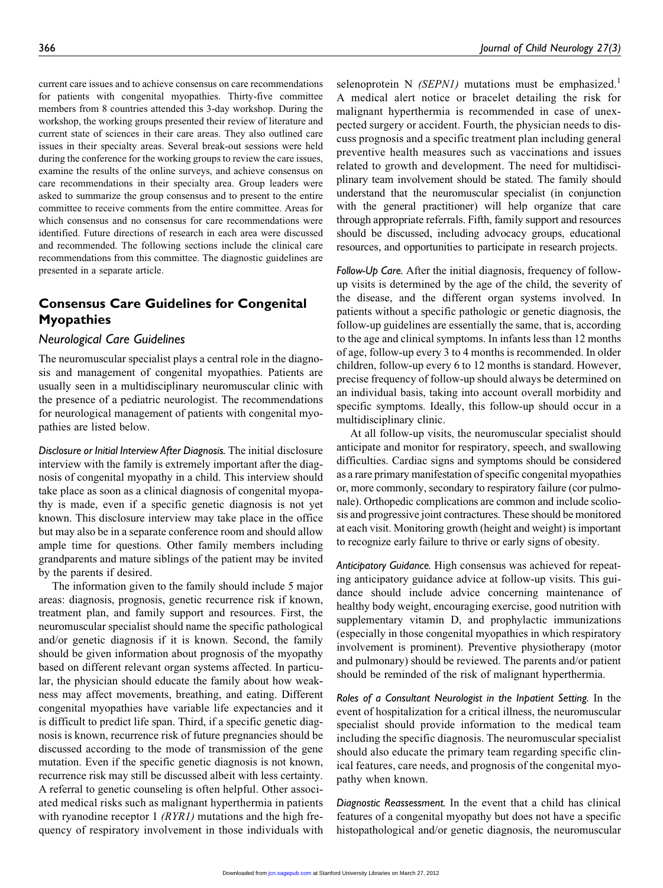current care issues and to achieve consensus on care recommendations for patients with congenital myopathies. Thirty-five committee members from 8 countries attended this 3-day workshop. During the workshop, the working groups presented their review of literature and current state of sciences in their care areas. They also outlined care issues in their specialty areas. Several break-out sessions were held during the conference for the working groups to review the care issues, examine the results of the online surveys, and achieve consensus on care recommendations in their specialty area. Group leaders were asked to summarize the group consensus and to present to the entire committee to receive comments from the entire committee. Areas for which consensus and no consensus for care recommendations were identified. Future directions of research in each area were discussed and recommended. The following sections include the clinical care recommendations from this committee. The diagnostic guidelines are presented in a separate article.

# Consensus Care Guidelines for Congenital Myopathies

#### Neurological Care Guidelines

The neuromuscular specialist plays a central role in the diagnosis and management of congenital myopathies. Patients are usually seen in a multidisciplinary neuromuscular clinic with the presence of a pediatric neurologist. The recommendations for neurological management of patients with congenital myopathies are listed below.

Disclosure or Initial Interview After Diagnosis. The initial disclosure interview with the family is extremely important after the diagnosis of congenital myopathy in a child. This interview should take place as soon as a clinical diagnosis of congenital myopathy is made, even if a specific genetic diagnosis is not yet known. This disclosure interview may take place in the office but may also be in a separate conference room and should allow ample time for questions. Other family members including grandparents and mature siblings of the patient may be invited by the parents if desired.

The information given to the family should include 5 major areas: diagnosis, prognosis, genetic recurrence risk if known, treatment plan, and family support and resources. First, the neuromuscular specialist should name the specific pathological and/or genetic diagnosis if it is known. Second, the family should be given information about prognosis of the myopathy based on different relevant organ systems affected. In particular, the physician should educate the family about how weakness may affect movements, breathing, and eating. Different congenital myopathies have variable life expectancies and it is difficult to predict life span. Third, if a specific genetic diagnosis is known, recurrence risk of future pregnancies should be discussed according to the mode of transmission of the gene mutation. Even if the specific genetic diagnosis is not known, recurrence risk may still be discussed albeit with less certainty. A referral to genetic counseling is often helpful. Other associated medical risks such as malignant hyperthermia in patients with ryanodine receptor  $1$  (RYR1) mutations and the high frequency of respiratory involvement in those individuals with selenoprotein N  $(SEPNI)$  mutations must be emphasized.<sup>1</sup> A medical alert notice or bracelet detailing the risk for malignant hyperthermia is recommended in case of unexpected surgery or accident. Fourth, the physician needs to discuss prognosis and a specific treatment plan including general preventive health measures such as vaccinations and issues related to growth and development. The need for multidisciplinary team involvement should be stated. The family should understand that the neuromuscular specialist (in conjunction with the general practitioner) will help organize that care through appropriate referrals. Fifth, family support and resources should be discussed, including advocacy groups, educational resources, and opportunities to participate in research projects.

Follow-Up Care. After the initial diagnosis, frequency of followup visits is determined by the age of the child, the severity of the disease, and the different organ systems involved. In patients without a specific pathologic or genetic diagnosis, the follow-up guidelines are essentially the same, that is, according to the age and clinical symptoms. In infants less than 12 months of age, follow-up every 3 to 4 months is recommended. In older children, follow-up every 6 to 12 months is standard. However, precise frequency of follow-up should always be determined on an individual basis, taking into account overall morbidity and specific symptoms. Ideally, this follow-up should occur in a multidisciplinary clinic.

At all follow-up visits, the neuromuscular specialist should anticipate and monitor for respiratory, speech, and swallowing difficulties. Cardiac signs and symptoms should be considered as a rare primary manifestation of specific congenital myopathies or, more commonly, secondary to respiratory failure (cor pulmonale). Orthopedic complications are common and include scoliosis and progressive joint contractures. These should be monitored at each visit. Monitoring growth (height and weight) is important to recognize early failure to thrive or early signs of obesity.

Anticipatory Guidance. High consensus was achieved for repeating anticipatory guidance advice at follow-up visits. This guidance should include advice concerning maintenance of healthy body weight, encouraging exercise, good nutrition with supplementary vitamin D, and prophylactic immunizations (especially in those congenital myopathies in which respiratory involvement is prominent). Preventive physiotherapy (motor and pulmonary) should be reviewed. The parents and/or patient should be reminded of the risk of malignant hyperthermia.

Roles of a Consultant Neurologist in the Inpatient Setting. In the event of hospitalization for a critical illness, the neuromuscular specialist should provide information to the medical team including the specific diagnosis. The neuromuscular specialist should also educate the primary team regarding specific clinical features, care needs, and prognosis of the congenital myopathy when known.

Diagnostic Reassessment. In the event that a child has clinical features of a congenital myopathy but does not have a specific histopathological and/or genetic diagnosis, the neuromuscular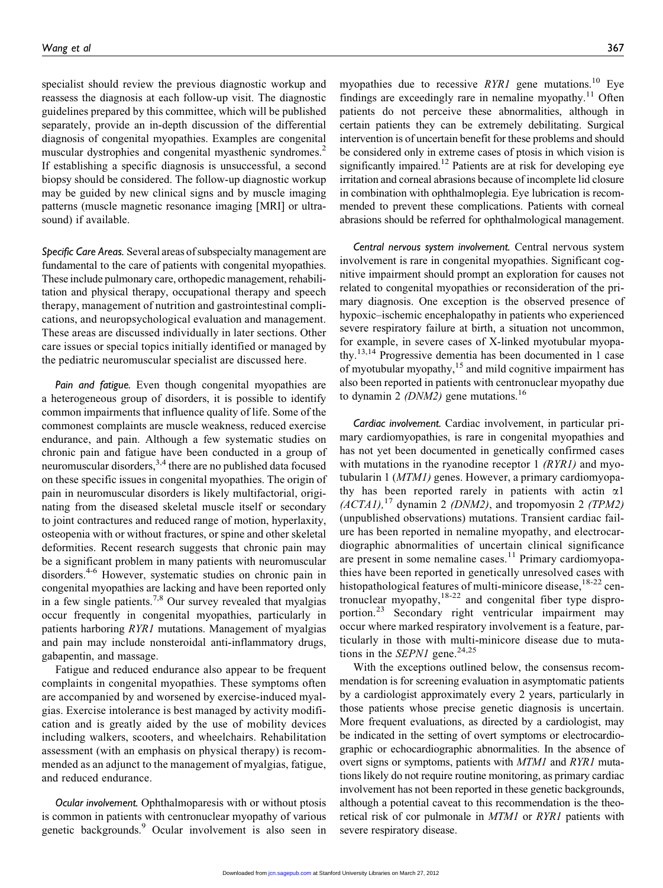specialist should review the previous diagnostic workup and reassess the diagnosis at each follow-up visit. The diagnostic guidelines prepared by this committee, which will be published separately, provide an in-depth discussion of the differential diagnosis of congenital myopathies. Examples are congenital muscular dystrophies and congenital myasthenic syndromes.<sup>2</sup> If establishing a specific diagnosis is unsuccessful, a second biopsy should be considered. The follow-up diagnostic workup may be guided by new clinical signs and by muscle imaging patterns (muscle magnetic resonance imaging [MRI] or ultrasound) if available.

Specific Care Areas. Several areas of subspecialty management are fundamental to the care of patients with congenital myopathies. These include pulmonary care, orthopedic management, rehabilitation and physical therapy, occupational therapy and speech therapy, management of nutrition and gastrointestinal complications, and neuropsychological evaluation and management. These areas are discussed individually in later sections. Other care issues or special topics initially identified or managed by the pediatric neuromuscular specialist are discussed here.

Pain and fatigue. Even though congenital myopathies are a heterogeneous group of disorders, it is possible to identify common impairments that influence quality of life. Some of the commonest complaints are muscle weakness, reduced exercise endurance, and pain. Although a few systematic studies on chronic pain and fatigue have been conducted in a group of neuromuscular disorders,  $3,4$  there are no published data focused on these specific issues in congenital myopathies. The origin of pain in neuromuscular disorders is likely multifactorial, originating from the diseased skeletal muscle itself or secondary to joint contractures and reduced range of motion, hyperlaxity, osteopenia with or without fractures, or spine and other skeletal deformities. Recent research suggests that chronic pain may be a significant problem in many patients with neuromuscular disorders.<sup>4-6</sup> However, systematic studies on chronic pain in congenital myopathies are lacking and have been reported only in a few single patients.<sup>7,8</sup> Our survey revealed that myalgias occur frequently in congenital myopathies, particularly in patients harboring RYR1 mutations. Management of myalgias and pain may include nonsteroidal anti-inflammatory drugs, gabapentin, and massage.

Fatigue and reduced endurance also appear to be frequent complaints in congenital myopathies. These symptoms often are accompanied by and worsened by exercise-induced myalgias. Exercise intolerance is best managed by activity modification and is greatly aided by the use of mobility devices including walkers, scooters, and wheelchairs. Rehabilitation assessment (with an emphasis on physical therapy) is recommended as an adjunct to the management of myalgias, fatigue, and reduced endurance.

Ocular involvement. Ophthalmoparesis with or without ptosis is common in patients with centronuclear myopathy of various genetic backgrounds.<sup>9</sup> Ocular involvement is also seen in myopathies due to recessive  $RYR1$  gene mutations.<sup>10</sup> Eye findings are exceedingly rare in nemaline myopathy.<sup>11</sup> Often patients do not perceive these abnormalities, although in certain patients they can be extremely debilitating. Surgical intervention is of uncertain benefit for these problems and should be considered only in extreme cases of ptosis in which vision is significantly impaired.<sup>12</sup> Patients are at risk for developing eye irritation and corneal abrasions because of incomplete lid closure in combination with ophthalmoplegia. Eye lubrication is recommended to prevent these complications. Patients with corneal abrasions should be referred for ophthalmological management.

Central nervous system involvement. Central nervous system involvement is rare in congenital myopathies. Significant cognitive impairment should prompt an exploration for causes not related to congenital myopathies or reconsideration of the primary diagnosis. One exception is the observed presence of hypoxic–ischemic encephalopathy in patients who experienced severe respiratory failure at birth, a situation not uncommon, for example, in severe cases of X-linked myotubular myopathy.<sup>13,14</sup> Progressive dementia has been documented in 1 case of myotubular myopathy,<sup>15</sup> and mild cognitive impairment has also been reported in patients with centronuclear myopathy due to dynamin 2 ( $DNM2$ ) gene mutations.<sup>16</sup>

Cardiac involvement. Cardiac involvement, in particular primary cardiomyopathies, is rare in congenital myopathies and has not yet been documented in genetically confirmed cases with mutations in the ryanodine receptor  $1$  (RYR1) and myotubularin 1 (MTM1) genes. However, a primary cardiomyopathy has been reported rarely in patients with actin  $\alpha$ 1  $(ACTAI)$ , <sup>17</sup> dynamin 2 (DNM2), and tropomyosin 2 (TPM2) (unpublished observations) mutations. Transient cardiac failure has been reported in nemaline myopathy, and electrocardiographic abnormalities of uncertain clinical significance are present in some nemaline cases.<sup>11</sup> Primary cardiomyopathies have been reported in genetically unresolved cases with histopathological features of multi-minicore disease,  $18-22$  centronuclear myopathy,<sup>18-22</sup> and congenital fiber type disproportion.<sup>23</sup> Secondary right ventricular impairment may occur where marked respiratory involvement is a feature, particularly in those with multi-minicore disease due to mutations in the *SEPN1* gene.<sup>24,25</sup>

With the exceptions outlined below, the consensus recommendation is for screening evaluation in asymptomatic patients by a cardiologist approximately every 2 years, particularly in those patients whose precise genetic diagnosis is uncertain. More frequent evaluations, as directed by a cardiologist, may be indicated in the setting of overt symptoms or electrocardiographic or echocardiographic abnormalities. In the absence of overt signs or symptoms, patients with MTM1 and RYR1 mutations likely do not require routine monitoring, as primary cardiac involvement has not been reported in these genetic backgrounds, although a potential caveat to this recommendation is the theoretical risk of cor pulmonale in MTM1 or RYR1 patients with severe respiratory disease.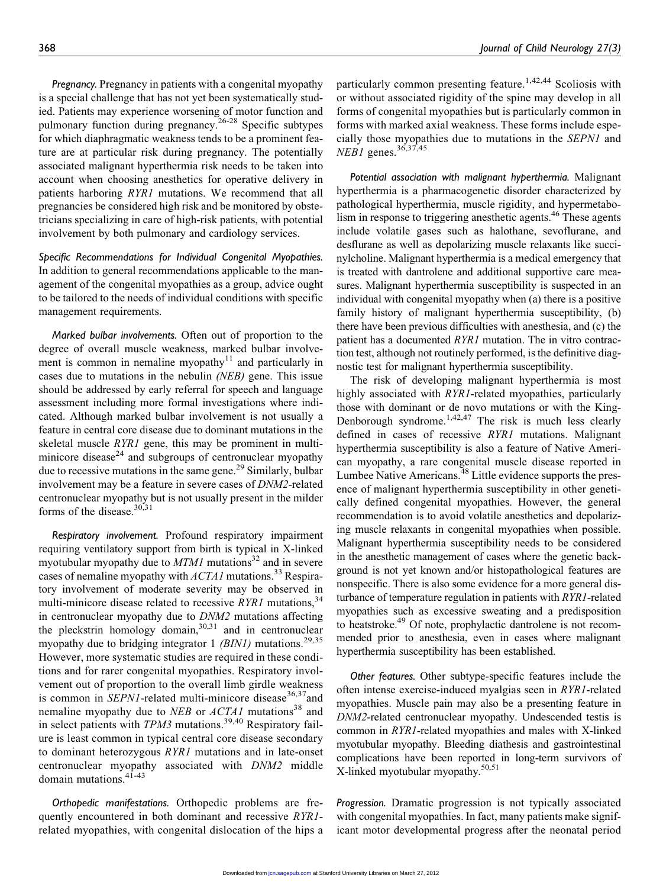Pregnancy. Pregnancy in patients with a congenital myopathy is a special challenge that has not yet been systematically studied. Patients may experience worsening of motor function and pulmonary function during pregnancy.26-28 Specific subtypes for which diaphragmatic weakness tends to be a prominent feature are at particular risk during pregnancy. The potentially associated malignant hyperthermia risk needs to be taken into account when choosing anesthetics for operative delivery in patients harboring RYR1 mutations. We recommend that all pregnancies be considered high risk and be monitored by obstetricians specializing in care of high-risk patients, with potential involvement by both pulmonary and cardiology services.

Specific Recommendations for Individual Congenital Myopathies. In addition to general recommendations applicable to the management of the congenital myopathies as a group, advice ought to be tailored to the needs of individual conditions with specific management requirements.

Marked bulbar involvements. Often out of proportion to the degree of overall muscle weakness, marked bulbar involvement is common in nemaline myopathy $11$  and particularly in cases due to mutations in the nebulin (NEB) gene. This issue should be addressed by early referral for speech and language assessment including more formal investigations where indicated. Although marked bulbar involvement is not usually a feature in central core disease due to dominant mutations in the skeletal muscle *RYR1* gene, this may be prominent in multiminicore disease<sup>24</sup> and subgroups of centronuclear myopathy due to recessive mutations in the same gene.<sup>29</sup> Similarly, bulbar involvement may be a feature in severe cases of DNM2-related centronuclear myopathy but is not usually present in the milder forms of the disease. $30,31$ 

Respiratory involvement. Profound respiratory impairment requiring ventilatory support from birth is typical in X-linked myotubular myopathy due to  $MTM1$  mutations<sup>32</sup> and in severe cases of nemaline myopathy with  $ACTAI$  mutations.<sup>33</sup> Respiratory involvement of moderate severity may be observed in multi-minicore disease related to recessive  $RYR1$  mutations,<sup>34</sup> in centronuclear myopathy due to DNM2 mutations affecting the pleckstrin homology domain, $30,31$  and in centronuclear myopathy due to bridging integrator 1 (BIN1) mutations.<sup>29,35</sup> However, more systematic studies are required in these conditions and for rarer congenital myopathies. Respiratory involvement out of proportion to the overall limb girdle weakness is common in  $SEPN1$ -related multi-minicore disease<sup>36,37</sup>and nemaline myopathy due to NEB or  $ACTAI$  mutations<sup>38</sup> and in select patients with  $TPM3$  mutations.<sup>39,40</sup> Respiratory failure is least common in typical central core disease secondary to dominant heterozygous RYR1 mutations and in late-onset centronuclear myopathy associated with DNM2 middle domain mutations.<sup>41-43</sup>

Orthopedic manifestations. Orthopedic problems are frequently encountered in both dominant and recessive RYR1 related myopathies, with congenital dislocation of the hips a particularly common presenting feature.<sup>1,42,44</sup> Scoliosis with or without associated rigidity of the spine may develop in all forms of congenital myopathies but is particularly common in forms with marked axial weakness. These forms include especially those myopathies due to mutations in the SEPN1 and  $NEB1$  genes.<sup>36,37,45</sup>

Potential association with malignant hyperthermia. Malignant hyperthermia is a pharmacogenetic disorder characterized by pathological hyperthermia, muscle rigidity, and hypermetabolism in response to triggering anesthetic agents.<sup>46</sup> These agents include volatile gases such as halothane, sevoflurane, and desflurane as well as depolarizing muscle relaxants like succinylcholine. Malignant hyperthermia is a medical emergency that is treated with dantrolene and additional supportive care measures. Malignant hyperthermia susceptibility is suspected in an individual with congenital myopathy when (a) there is a positive family history of malignant hyperthermia susceptibility, (b) there have been previous difficulties with anesthesia, and (c) the patient has a documented RYR1 mutation. The in vitro contraction test, although not routinely performed, is the definitive diagnostic test for malignant hyperthermia susceptibility.

The risk of developing malignant hyperthermia is most highly associated with RYR1-related myopathies, particularly those with dominant or de novo mutations or with the King-Denborough syndrome. $1,42,47$  The risk is much less clearly defined in cases of recessive RYR1 mutations. Malignant hyperthermia susceptibility is also a feature of Native American myopathy, a rare congenital muscle disease reported in Lumbee Native Americans.<sup>48</sup> Little evidence supports the presence of malignant hyperthermia susceptibility in other genetically defined congenital myopathies. However, the general recommendation is to avoid volatile anesthetics and depolarizing muscle relaxants in congenital myopathies when possible. Malignant hyperthermia susceptibility needs to be considered in the anesthetic management of cases where the genetic background is not yet known and/or histopathological features are nonspecific. There is also some evidence for a more general disturbance of temperature regulation in patients with RYR1-related myopathies such as excessive sweating and a predisposition to heatstroke.<sup>49</sup> Of note, prophylactic dantrolene is not recommended prior to anesthesia, even in cases where malignant hyperthermia susceptibility has been established.

Other features. Other subtype-specific features include the often intense exercise-induced myalgias seen in RYR1-related myopathies. Muscle pain may also be a presenting feature in DNM2-related centronuclear myopathy. Undescended testis is common in RYR1-related myopathies and males with X-linked myotubular myopathy. Bleeding diathesis and gastrointestinal complications have been reported in long-term survivors of X-linked myotubular myopathy.50,51

Progression. Dramatic progression is not typically associated with congenital myopathies. In fact, many patients make significant motor developmental progress after the neonatal period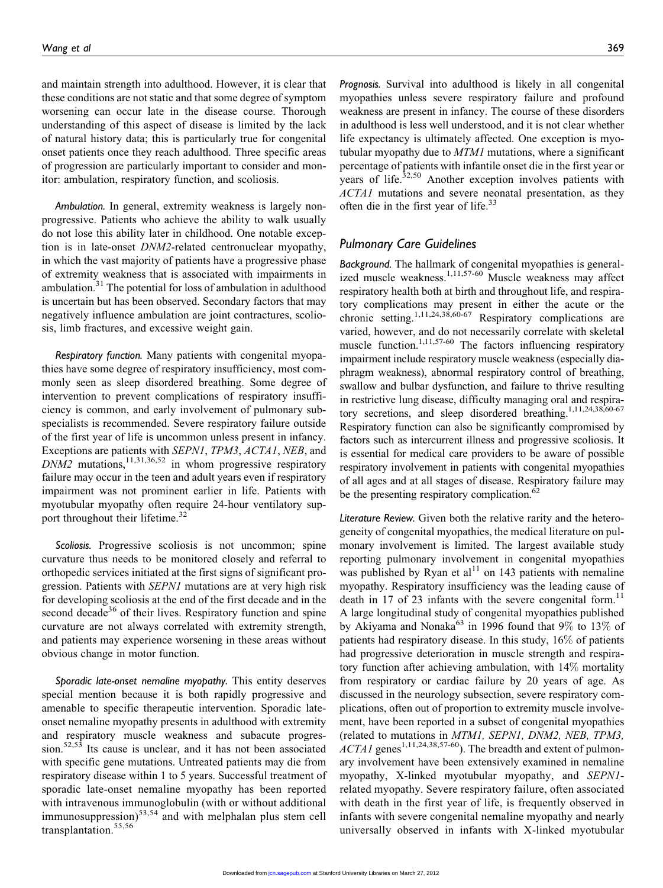and maintain strength into adulthood. However, it is clear that these conditions are not static and that some degree of symptom worsening can occur late in the disease course. Thorough understanding of this aspect of disease is limited by the lack of natural history data; this is particularly true for congenital onset patients once they reach adulthood. Three specific areas of progression are particularly important to consider and monitor: ambulation, respiratory function, and scoliosis.

Ambulation. In general, extremity weakness is largely nonprogressive. Patients who achieve the ability to walk usually do not lose this ability later in childhood. One notable exception is in late-onset DNM2-related centronuclear myopathy, in which the vast majority of patients have a progressive phase of extremity weakness that is associated with impairments in ambulation. $31$  The potential for loss of ambulation in adulthood is uncertain but has been observed. Secondary factors that may negatively influence ambulation are joint contractures, scoliosis, limb fractures, and excessive weight gain.

Respiratory function. Many patients with congenital myopathies have some degree of respiratory insufficiency, most commonly seen as sleep disordered breathing. Some degree of intervention to prevent complications of respiratory insufficiency is common, and early involvement of pulmonary subspecialists is recommended. Severe respiratory failure outside of the first year of life is uncommon unless present in infancy. Exceptions are patients with SEPN1, TPM3, ACTA1, NEB, and  $DNM2$  mutations,  $11,31,36,52$  in whom progressive respiratory failure may occur in the teen and adult years even if respiratory impairment was not prominent earlier in life. Patients with myotubular myopathy often require 24-hour ventilatory support throughout their lifetime.<sup>32</sup>

Scoliosis. Progressive scoliosis is not uncommon; spine curvature thus needs to be monitored closely and referral to orthopedic services initiated at the first signs of significant progression. Patients with SEPN1 mutations are at very high risk for developing scoliosis at the end of the first decade and in the second decade<sup>36</sup> of their lives. Respiratory function and spine curvature are not always correlated with extremity strength, and patients may experience worsening in these areas without obvious change in motor function.

Sporadic late-onset nemaline myopathy. This entity deserves special mention because it is both rapidly progressive and amenable to specific therapeutic intervention. Sporadic lateonset nemaline myopathy presents in adulthood with extremity and respiratory muscle weakness and subacute progression.<sup>52,53</sup> Its cause is unclear, and it has not been associated with specific gene mutations. Untreated patients may die from respiratory disease within 1 to 5 years. Successful treatment of sporadic late-onset nemaline myopathy has been reported with intravenous immunoglobulin (with or without additional immunosuppression) $53,54$  and with melphalan plus stem cell transplantation.55,56

Prognosis. Survival into adulthood is likely in all congenital myopathies unless severe respiratory failure and profound weakness are present in infancy. The course of these disorders in adulthood is less well understood, and it is not clear whether life expectancy is ultimately affected. One exception is myotubular myopathy due to MTM1 mutations, where a significant percentage of patients with infantile onset die in the first year or years of life.<sup>32,50</sup> Another exception involves patients with ACTA1 mutations and severe neonatal presentation, as they often die in the first year of life.<sup>33</sup>

#### Pulmonary Care Guidelines

Background. The hallmark of congenital myopathies is generalized muscle weakness.1,11,57-60 Muscle weakness may affect respiratory health both at birth and throughout life, and respiratory complications may present in either the acute or the chronic setting.<sup>1,11,24,38,60-67</sup> Respiratory complications are varied, however, and do not necessarily correlate with skeletal muscle function.<sup>1,11,57-60</sup> The factors influencing respiratory impairment include respiratory muscle weakness (especially diaphragm weakness), abnormal respiratory control of breathing, swallow and bulbar dysfunction, and failure to thrive resulting in restrictive lung disease, difficulty managing oral and respiratory secretions, and sleep disordered breathing.<sup>1,11,24,38,60-67</sup> Respiratory function can also be significantly compromised by factors such as intercurrent illness and progressive scoliosis. It is essential for medical care providers to be aware of possible respiratory involvement in patients with congenital myopathies of all ages and at all stages of disease. Respiratory failure may be the presenting respiratory complication.<sup>62</sup>

Literature Review. Given both the relative rarity and the heterogeneity of congenital myopathies, the medical literature on pulmonary involvement is limited. The largest available study reporting pulmonary involvement in congenital myopathies was published by Ryan et al<sup>11</sup> on 143 patients with nemaline myopathy. Respiratory insufficiency was the leading cause of death in 17 of 23 infants with the severe congenital form.<sup>11</sup> A large longitudinal study of congenital myopathies published by Akiyama and Nonaka<sup>63</sup> in 1996 found that  $9\%$  to 13% of patients had respiratory disease. In this study, 16% of patients had progressive deterioration in muscle strength and respiratory function after achieving ambulation, with 14% mortality from respiratory or cardiac failure by 20 years of age. As discussed in the neurology subsection, severe respiratory complications, often out of proportion to extremity muscle involvement, have been reported in a subset of congenital myopathies (related to mutations in MTM1, SEPN1, DNM2, NEB, TPM3,  $ACTA1$  genes<sup>1,11,24,38,57-60</sup>). The breadth and extent of pulmonary involvement have been extensively examined in nemaline myopathy, X-linked myotubular myopathy, and SEPN1 related myopathy. Severe respiratory failure, often associated with death in the first year of life, is frequently observed in infants with severe congenital nemaline myopathy and nearly universally observed in infants with X-linked myotubular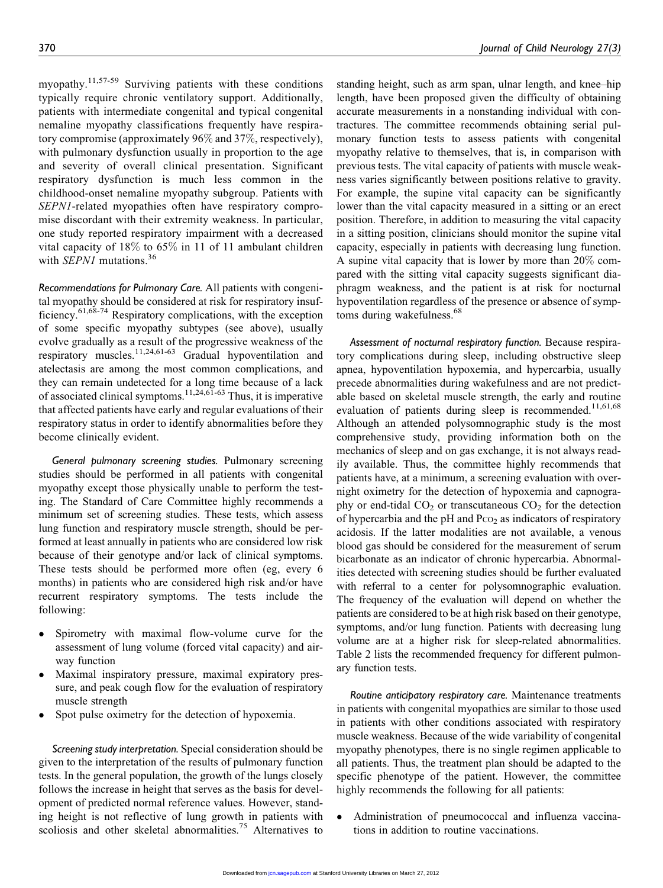myopathy.<sup>11,57-59</sup> Surviving patients with these conditions typically require chronic ventilatory support. Additionally, patients with intermediate congenital and typical congenital nemaline myopathy classifications frequently have respiratory compromise (approximately 96% and 37%, respectively), with pulmonary dysfunction usually in proportion to the age and severity of overall clinical presentation. Significant respiratory dysfunction is much less common in the childhood-onset nemaline myopathy subgroup. Patients with SEPN1-related myopathies often have respiratory compromise discordant with their extremity weakness. In particular, one study reported respiratory impairment with a decreased vital capacity of 18% to 65% in 11 of 11 ambulant children with *SEPN1* mutations.<sup>36</sup>

Recommendations for Pulmonary Care. All patients with congenital myopathy should be considered at risk for respiratory insufficiency.61,68-74 Respiratory complications, with the exception of some specific myopathy subtypes (see above), usually evolve gradually as a result of the progressive weakness of the respiratory muscles.11,24,61-63 Gradual hypoventilation and atelectasis are among the most common complications, and they can remain undetected for a long time because of a lack of associated clinical symptoms.<sup>11,24,61-63</sup> Thus, it is imperative that affected patients have early and regular evaluations of their respiratory status in order to identify abnormalities before they become clinically evident.

General pulmonary screening studies. Pulmonary screening studies should be performed in all patients with congenital myopathy except those physically unable to perform the testing. The Standard of Care Committee highly recommends a minimum set of screening studies. These tests, which assess lung function and respiratory muscle strength, should be performed at least annually in patients who are considered low risk because of their genotype and/or lack of clinical symptoms. These tests should be performed more often (eg, every 6 months) in patients who are considered high risk and/or have recurrent respiratory symptoms. The tests include the following:

- Spirometry with maximal flow-volume curve for the assessment of lung volume (forced vital capacity) and airway function
- $\bullet$  Maximal inspiratory pressure, maximal expiratory pressure, and peak cough flow for the evaluation of respiratory muscle strength
- $\bullet$ Spot pulse oximetry for the detection of hypoxemia.

Screening study interpretation. Special consideration should be given to the interpretation of the results of pulmonary function tests. In the general population, the growth of the lungs closely follows the increase in height that serves as the basis for development of predicted normal reference values. However, standing height is not reflective of lung growth in patients with scoliosis and other skeletal abnormalities.<sup>75</sup> Alternatives to

standing height, such as arm span, ulnar length, and knee–hip length, have been proposed given the difficulty of obtaining accurate measurements in a nonstanding individual with contractures. The committee recommends obtaining serial pulmonary function tests to assess patients with congenital myopathy relative to themselves, that is, in comparison with previous tests. The vital capacity of patients with muscle weakness varies significantly between positions relative to gravity. For example, the supine vital capacity can be significantly lower than the vital capacity measured in a sitting or an erect position. Therefore, in addition to measuring the vital capacity in a sitting position, clinicians should monitor the supine vital capacity, especially in patients with decreasing lung function. A supine vital capacity that is lower by more than 20% compared with the sitting vital capacity suggests significant diaphragm weakness, and the patient is at risk for nocturnal hypoventilation regardless of the presence or absence of symptoms during wakefulness.<sup>68</sup>

Assessment of nocturnal respiratory function. Because respiratory complications during sleep, including obstructive sleep apnea, hypoventilation hypoxemia, and hypercarbia, usually precede abnormalities during wakefulness and are not predictable based on skeletal muscle strength, the early and routine evaluation of patients during sleep is recommended.<sup>11,61,68</sup> Although an attended polysomnographic study is the most comprehensive study, providing information both on the mechanics of sleep and on gas exchange, it is not always readily available. Thus, the committee highly recommends that patients have, at a minimum, a screening evaluation with overnight oximetry for the detection of hypoxemia and capnography or end-tidal  $CO<sub>2</sub>$  or transcutaneous  $CO<sub>2</sub>$  for the detection of hypercarbia and the pH and  $P_{CO_2}$  as indicators of respiratory acidosis. If the latter modalities are not available, a venous blood gas should be considered for the measurement of serum bicarbonate as an indicator of chronic hypercarbia. Abnormalities detected with screening studies should be further evaluated with referral to a center for polysomnographic evaluation. The frequency of the evaluation will depend on whether the patients are considered to be at high risk based on their genotype, symptoms, and/or lung function. Patients with decreasing lung volume are at a higher risk for sleep-related abnormalities. Table 2 lists the recommended frequency for different pulmonary function tests.

Routine anticipatory respiratory care. Maintenance treatments in patients with congenital myopathies are similar to those used in patients with other conditions associated with respiratory muscle weakness. Because of the wide variability of congenital myopathy phenotypes, there is no single regimen applicable to all patients. Thus, the treatment plan should be adapted to the specific phenotype of the patient. However, the committee highly recommends the following for all patients:

 $\bullet$  Administration of pneumococcal and influenza vaccinations in addition to routine vaccinations.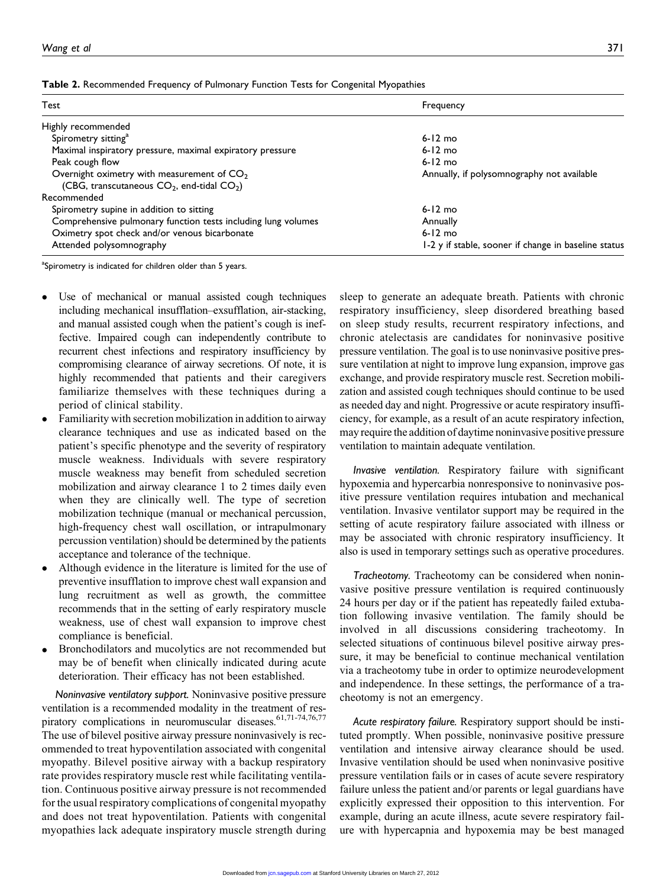| Table 2. Recommended Frequency of Pulmonary Function Tests for Congenital Myopathies |  |  |  |  |  |
|--------------------------------------------------------------------------------------|--|--|--|--|--|
|--------------------------------------------------------------------------------------|--|--|--|--|--|

| Test                                                                                           | Frequency                                            |  |  |
|------------------------------------------------------------------------------------------------|------------------------------------------------------|--|--|
| Highly recommended                                                                             |                                                      |  |  |
| Spirometry sitting <sup>a</sup>                                                                | $6-12$ mo                                            |  |  |
| Maximal inspiratory pressure, maximal expiratory pressure                                      | $6-12$ mo                                            |  |  |
| Peak cough flow                                                                                | $6-12$ mo                                            |  |  |
| Overnight oximetry with measurement of $CO2$<br>(CBG, transcutaneous $CO2$ , end-tidal $CO2$ ) | Annually, if polysomnography not available           |  |  |
| Recommended                                                                                    |                                                      |  |  |
| Spirometry supine in addition to sitting                                                       | $6-12$ mo                                            |  |  |
| Comprehensive pulmonary function tests including lung volumes                                  | Annually                                             |  |  |
| Oximetry spot check and/or venous bicarbonate                                                  | $6-12$ mo                                            |  |  |
| Attended polysomnography                                                                       | 1-2 y if stable, sooner if change in baseline status |  |  |

<sup>a</sup>Spirometry is indicated for children older than 5 years.

- $\bullet$  Use of mechanical or manual assisted cough techniques including mechanical insufflation–exsufflation, air-stacking, and manual assisted cough when the patient's cough is ineffective. Impaired cough can independently contribute to recurrent chest infections and respiratory insufficiency by compromising clearance of airway secretions. Of note, it is highly recommended that patients and their caregivers familiarize themselves with these techniques during a period of clinical stability.
- $\bullet$  Familiarity with secretion mobilization in addition to airway clearance techniques and use as indicated based on the patient's specific phenotype and the severity of respiratory muscle weakness. Individuals with severe respiratory muscle weakness may benefit from scheduled secretion mobilization and airway clearance 1 to 2 times daily even when they are clinically well. The type of secretion mobilization technique (manual or mechanical percussion, high-frequency chest wall oscillation, or intrapulmonary percussion ventilation) should be determined by the patients acceptance and tolerance of the technique.
- $\bullet$  Although evidence in the literature is limited for the use of preventive insufflation to improve chest wall expansion and lung recruitment as well as growth, the committee recommends that in the setting of early respiratory muscle weakness, use of chest wall expansion to improve chest compliance is beneficial.
- $\bullet$  Bronchodilators and mucolytics are not recommended but may be of benefit when clinically indicated during acute deterioration. Their efficacy has not been established.

Noninvasive ventilatory support. Noninvasive positive pressure ventilation is a recommended modality in the treatment of respiratory complications in neuromuscular diseases.<sup>61,71-74,76,77</sup> The use of bilevel positive airway pressure noninvasively is recommended to treat hypoventilation associated with congenital myopathy. Bilevel positive airway with a backup respiratory rate provides respiratory muscle rest while facilitating ventilation. Continuous positive airway pressure is not recommended for the usual respiratory complications of congenital myopathy and does not treat hypoventilation. Patients with congenital myopathies lack adequate inspiratory muscle strength during sleep to generate an adequate breath. Patients with chronic respiratory insufficiency, sleep disordered breathing based on sleep study results, recurrent respiratory infections, and chronic atelectasis are candidates for noninvasive positive pressure ventilation. The goal is to use noninvasive positive pressure ventilation at night to improve lung expansion, improve gas exchange, and provide respiratory muscle rest. Secretion mobilization and assisted cough techniques should continue to be used as needed day and night. Progressive or acute respiratory insufficiency, for example, as a result of an acute respiratory infection, may require the addition of daytime noninvasive positive pressure ventilation to maintain adequate ventilation.

Invasive ventilation. Respiratory failure with significant hypoxemia and hypercarbia nonresponsive to noninvasive positive pressure ventilation requires intubation and mechanical ventilation. Invasive ventilator support may be required in the setting of acute respiratory failure associated with illness or may be associated with chronic respiratory insufficiency. It also is used in temporary settings such as operative procedures.

Tracheotomy. Tracheotomy can be considered when noninvasive positive pressure ventilation is required continuously 24 hours per day or if the patient has repeatedly failed extubation following invasive ventilation. The family should be involved in all discussions considering tracheotomy. In selected situations of continuous bilevel positive airway pressure, it may be beneficial to continue mechanical ventilation via a tracheotomy tube in order to optimize neurodevelopment and independence. In these settings, the performance of a tracheotomy is not an emergency.

Acute respiratory failure. Respiratory support should be instituted promptly. When possible, noninvasive positive pressure ventilation and intensive airway clearance should be used. Invasive ventilation should be used when noninvasive positive pressure ventilation fails or in cases of acute severe respiratory failure unless the patient and/or parents or legal guardians have explicitly expressed their opposition to this intervention. For example, during an acute illness, acute severe respiratory failure with hypercapnia and hypoxemia may be best managed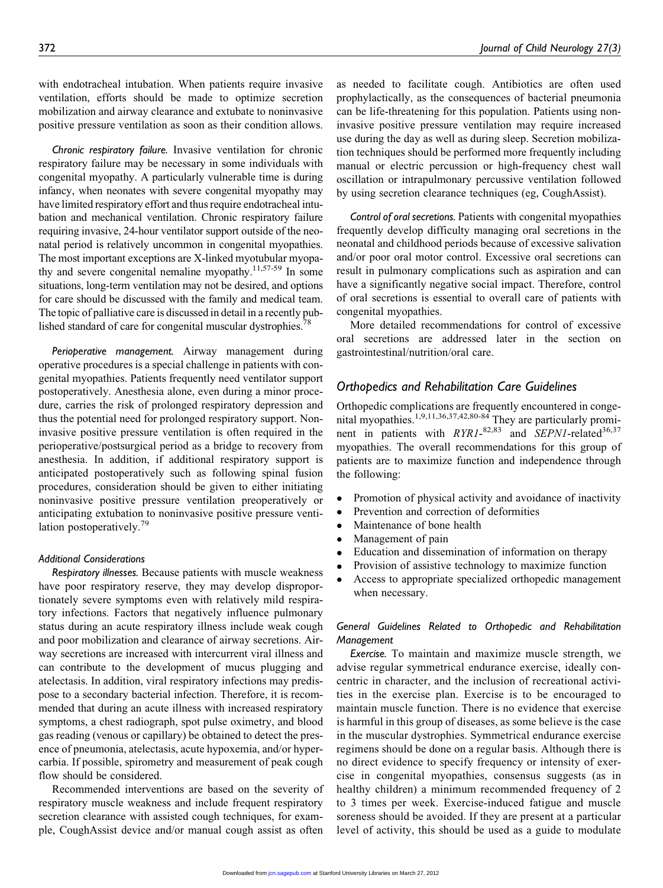with endotracheal intubation. When patients require invasive ventilation, efforts should be made to optimize secretion mobilization and airway clearance and extubate to noninvasive positive pressure ventilation as soon as their condition allows.

Chronic respiratory failure. Invasive ventilation for chronic respiratory failure may be necessary in some individuals with congenital myopathy. A particularly vulnerable time is during infancy, when neonates with severe congenital myopathy may have limited respiratory effort and thus require endotracheal intubation and mechanical ventilation. Chronic respiratory failure requiring invasive, 24-hour ventilator support outside of the neonatal period is relatively uncommon in congenital myopathies. The most important exceptions are X-linked myotubular myopathy and severe congenital nemaline myopathy.<sup>11,57-59</sup> In some situations, long-term ventilation may not be desired, and options for care should be discussed with the family and medical team. The topic of palliative care is discussed in detail in a recently published standard of care for congenital muscular dystrophies.<sup>78</sup>

Perioperative management. Airway management during operative procedures is a special challenge in patients with congenital myopathies. Patients frequently need ventilator support postoperatively. Anesthesia alone, even during a minor procedure, carries the risk of prolonged respiratory depression and thus the potential need for prolonged respiratory support. Noninvasive positive pressure ventilation is often required in the perioperative/postsurgical period as a bridge to recovery from anesthesia. In addition, if additional respiratory support is anticipated postoperatively such as following spinal fusion procedures, consideration should be given to either initiating noninvasive positive pressure ventilation preoperatively or anticipating extubation to noninvasive positive pressure ventilation postoperatively.<sup>79</sup>

#### Additional Considerations

Respiratory illnesses. Because patients with muscle weakness have poor respiratory reserve, they may develop disproportionately severe symptoms even with relatively mild respiratory infections. Factors that negatively influence pulmonary status during an acute respiratory illness include weak cough and poor mobilization and clearance of airway secretions. Airway secretions are increased with intercurrent viral illness and can contribute to the development of mucus plugging and atelectasis. In addition, viral respiratory infections may predispose to a secondary bacterial infection. Therefore, it is recommended that during an acute illness with increased respiratory symptoms, a chest radiograph, spot pulse oximetry, and blood gas reading (venous or capillary) be obtained to detect the presence of pneumonia, atelectasis, acute hypoxemia, and/or hypercarbia. If possible, spirometry and measurement of peak cough flow should be considered.

Recommended interventions are based on the severity of respiratory muscle weakness and include frequent respiratory secretion clearance with assisted cough techniques, for example, CoughAssist device and/or manual cough assist as often

as needed to facilitate cough. Antibiotics are often used prophylactically, as the consequences of bacterial pneumonia can be life-threatening for this population. Patients using noninvasive positive pressure ventilation may require increased use during the day as well as during sleep. Secretion mobilization techniques should be performed more frequently including manual or electric percussion or high-frequency chest wall oscillation or intrapulmonary percussive ventilation followed by using secretion clearance techniques (eg, CoughAssist).

Control of oral secretions. Patients with congenital myopathies frequently develop difficulty managing oral secretions in the neonatal and childhood periods because of excessive salivation and/or poor oral motor control. Excessive oral secretions can result in pulmonary complications such as aspiration and can have a significantly negative social impact. Therefore, control of oral secretions is essential to overall care of patients with congenital myopathies.

More detailed recommendations for control of excessive oral secretions are addressed later in the section on gastrointestinal/nutrition/oral care.

#### Orthopedics and Rehabilitation Care Guidelines

Orthopedic complications are frequently encountered in congenital myopathies.<sup>1,9,11,36,37,42,80-84</sup> They are particularly prominent in patients with  $RYR1$ <sup>82,83</sup> and SEPN1-related<sup>36,37</sup> myopathies. The overall recommendations for this group of patients are to maximize function and independence through the following:

- $\bullet$ Promotion of physical activity and avoidance of inactivity
- $\bullet$ Prevention and correction of deformities
- $\bullet$ Maintenance of bone health
- $\bullet$ Management of pain
- $\bullet$ Education and dissemination of information on therapy
- $\bullet$ Provision of assistive technology to maximize function
- $\bullet$  Access to appropriate specialized orthopedic management when necessary.

#### General Guidelines Related to Orthopedic and Rehabilitation Management

Exercise. To maintain and maximize muscle strength, we advise regular symmetrical endurance exercise, ideally concentric in character, and the inclusion of recreational activities in the exercise plan. Exercise is to be encouraged to maintain muscle function. There is no evidence that exercise is harmful in this group of diseases, as some believe is the case in the muscular dystrophies. Symmetrical endurance exercise regimens should be done on a regular basis. Although there is no direct evidence to specify frequency or intensity of exercise in congenital myopathies, consensus suggests (as in healthy children) a minimum recommended frequency of 2 to 3 times per week. Exercise-induced fatigue and muscle soreness should be avoided. If they are present at a particular level of activity, this should be used as a guide to modulate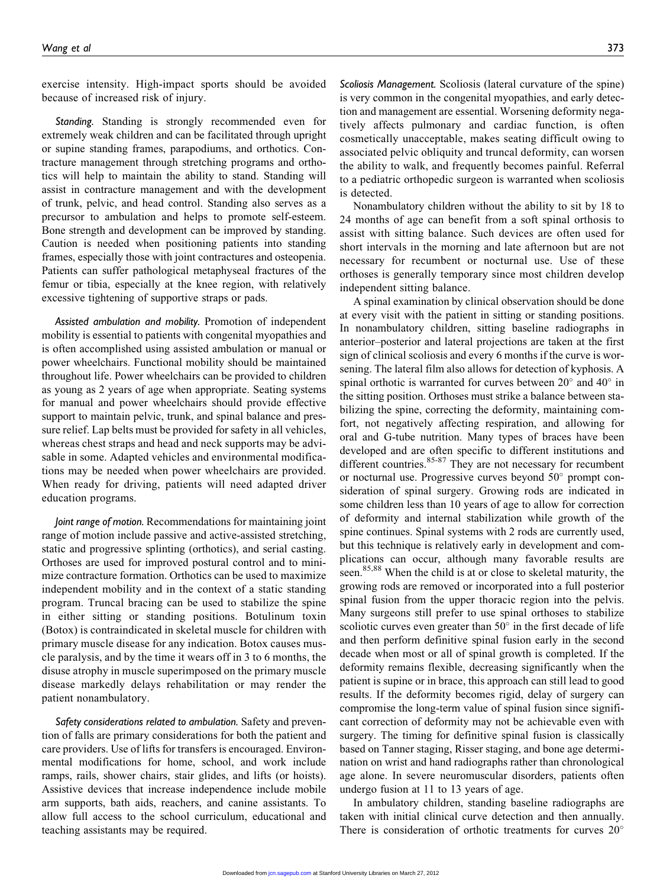exercise intensity. High-impact sports should be avoided because of increased risk of injury.

Standing. Standing is strongly recommended even for extremely weak children and can be facilitated through upright or supine standing frames, parapodiums, and orthotics. Contracture management through stretching programs and orthotics will help to maintain the ability to stand. Standing will assist in contracture management and with the development of trunk, pelvic, and head control. Standing also serves as a precursor to ambulation and helps to promote self-esteem. Bone strength and development can be improved by standing. Caution is needed when positioning patients into standing frames, especially those with joint contractures and osteopenia. Patients can suffer pathological metaphyseal fractures of the femur or tibia, especially at the knee region, with relatively excessive tightening of supportive straps or pads.

Assisted ambulation and mobility. Promotion of independent mobility is essential to patients with congenital myopathies and is often accomplished using assisted ambulation or manual or power wheelchairs. Functional mobility should be maintained throughout life. Power wheelchairs can be provided to children as young as 2 years of age when appropriate. Seating systems for manual and power wheelchairs should provide effective support to maintain pelvic, trunk, and spinal balance and pressure relief. Lap belts must be provided for safety in all vehicles, whereas chest straps and head and neck supports may be advisable in some. Adapted vehicles and environmental modifications may be needed when power wheelchairs are provided. When ready for driving, patients will need adapted driver education programs.

Joint range of motion. Recommendations for maintaining joint range of motion include passive and active-assisted stretching, static and progressive splinting (orthotics), and serial casting. Orthoses are used for improved postural control and to minimize contracture formation. Orthotics can be used to maximize independent mobility and in the context of a static standing program. Truncal bracing can be used to stabilize the spine in either sitting or standing positions. Botulinum toxin (Botox) is contraindicated in skeletal muscle for children with primary muscle disease for any indication. Botox causes muscle paralysis, and by the time it wears off in 3 to 6 months, the disuse atrophy in muscle superimposed on the primary muscle disease markedly delays rehabilitation or may render the patient nonambulatory.

Safety considerations related to ambulation. Safety and prevention of falls are primary considerations for both the patient and care providers. Use of lifts for transfers is encouraged. Environmental modifications for home, school, and work include ramps, rails, shower chairs, stair glides, and lifts (or hoists). Assistive devices that increase independence include mobile arm supports, bath aids, reachers, and canine assistants. To allow full access to the school curriculum, educational and teaching assistants may be required.

Scoliosis Management. Scoliosis (lateral curvature of the spine) is very common in the congenital myopathies, and early detection and management are essential. Worsening deformity negatively affects pulmonary and cardiac function, is often cosmetically unacceptable, makes seating difficult owing to associated pelvic obliquity and truncal deformity, can worsen the ability to walk, and frequently becomes painful. Referral to a pediatric orthopedic surgeon is warranted when scoliosis is detected.

Nonambulatory children without the ability to sit by 18 to 24 months of age can benefit from a soft spinal orthosis to assist with sitting balance. Such devices are often used for short intervals in the morning and late afternoon but are not necessary for recumbent or nocturnal use. Use of these orthoses is generally temporary since most children develop independent sitting balance.

A spinal examination by clinical observation should be done at every visit with the patient in sitting or standing positions. In nonambulatory children, sitting baseline radiographs in anterior–posterior and lateral projections are taken at the first sign of clinical scoliosis and every 6 months if the curve is worsening. The lateral film also allows for detection of kyphosis. A spinal orthotic is warranted for curves between  $20^{\circ}$  and  $40^{\circ}$  in the sitting position. Orthoses must strike a balance between stabilizing the spine, correcting the deformity, maintaining comfort, not negatively affecting respiration, and allowing for oral and G-tube nutrition. Many types of braces have been developed and are often specific to different institutions and different countries.<sup>85-87</sup> They are not necessary for recumbent or nocturnal use. Progressive curves beyond  $50^{\circ}$  prompt consideration of spinal surgery. Growing rods are indicated in some children less than 10 years of age to allow for correction of deformity and internal stabilization while growth of the spine continues. Spinal systems with 2 rods are currently used, but this technique is relatively early in development and complications can occur, although many favorable results are seen.<sup>85,88</sup> When the child is at or close to skeletal maturity, the growing rods are removed or incorporated into a full posterior spinal fusion from the upper thoracic region into the pelvis. Many surgeons still prefer to use spinal orthoses to stabilize scoliotic curves even greater than  $50^{\circ}$  in the first decade of life and then perform definitive spinal fusion early in the second decade when most or all of spinal growth is completed. If the deformity remains flexible, decreasing significantly when the patient is supine or in brace, this approach can still lead to good results. If the deformity becomes rigid, delay of surgery can compromise the long-term value of spinal fusion since significant correction of deformity may not be achievable even with surgery. The timing for definitive spinal fusion is classically based on Tanner staging, Risser staging, and bone age determination on wrist and hand radiographs rather than chronological age alone. In severe neuromuscular disorders, patients often undergo fusion at 11 to 13 years of age.

In ambulatory children, standing baseline radiographs are taken with initial clinical curve detection and then annually. There is consideration of orthotic treatments for curves  $20^{\circ}$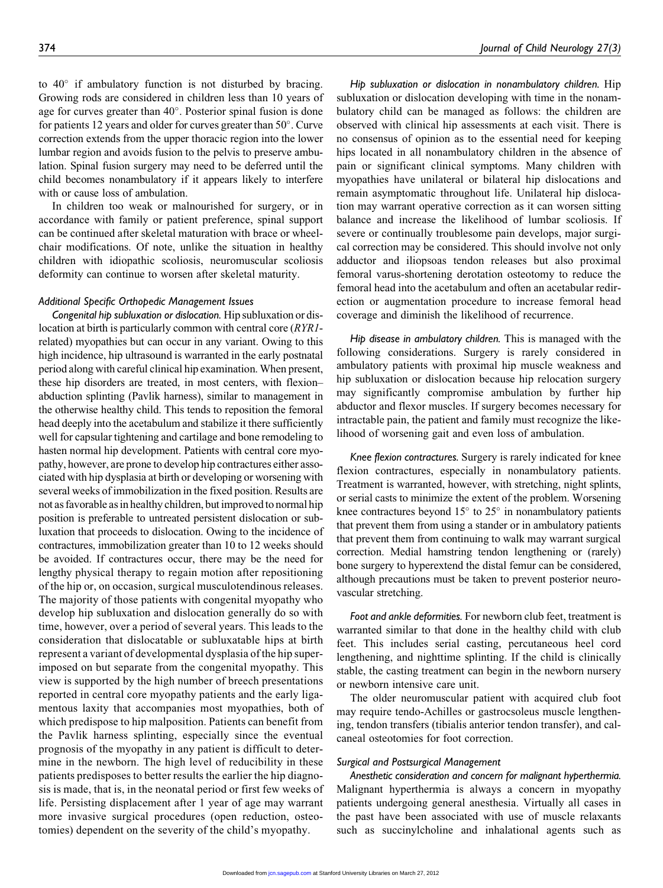to  $40^{\circ}$  if ambulatory function is not disturbed by bracing. Growing rods are considered in children less than 10 years of age for curves greater than  $40^\circ$ . Posterior spinal fusion is done for patients 12 years and older for curves greater than  $50^\circ$ . Curve correction extends from the upper thoracic region into the lower lumbar region and avoids fusion to the pelvis to preserve ambulation. Spinal fusion surgery may need to be deferred until the child becomes nonambulatory if it appears likely to interfere with or cause loss of ambulation.

In children too weak or malnourished for surgery, or in accordance with family or patient preference, spinal support can be continued after skeletal maturation with brace or wheelchair modifications. Of note, unlike the situation in healthy children with idiopathic scoliosis, neuromuscular scoliosis deformity can continue to worsen after skeletal maturity.

#### Additional Specific Orthopedic Management Issues

Congenital hip subluxation or dislocation. Hip subluxation or dislocation at birth is particularly common with central core (RYR1related) myopathies but can occur in any variant. Owing to this high incidence, hip ultrasound is warranted in the early postnatal period along with careful clinical hip examination. When present, these hip disorders are treated, in most centers, with flexion– abduction splinting (Pavlik harness), similar to management in the otherwise healthy child. This tends to reposition the femoral head deeply into the acetabulum and stabilize it there sufficiently well for capsular tightening and cartilage and bone remodeling to hasten normal hip development. Patients with central core myopathy, however, are prone to develop hip contractures either associated with hip dysplasia at birth or developing or worsening with several weeks of immobilization in the fixed position. Results are not as favorable as in healthy children, but improved to normal hip position is preferable to untreated persistent dislocation or subluxation that proceeds to dislocation. Owing to the incidence of contractures, immobilization greater than 10 to 12 weeks should be avoided. If contractures occur, there may be the need for lengthy physical therapy to regain motion after repositioning of the hip or, on occasion, surgical musculotendinous releases. The majority of those patients with congenital myopathy who develop hip subluxation and dislocation generally do so with time, however, over a period of several years. This leads to the consideration that dislocatable or subluxatable hips at birth represent a variant of developmental dysplasia of the hip superimposed on but separate from the congenital myopathy. This view is supported by the high number of breech presentations reported in central core myopathy patients and the early ligamentous laxity that accompanies most myopathies, both of which predispose to hip malposition. Patients can benefit from the Pavlik harness splinting, especially since the eventual prognosis of the myopathy in any patient is difficult to determine in the newborn. The high level of reducibility in these patients predisposes to better results the earlier the hip diagnosis is made, that is, in the neonatal period or first few weeks of life. Persisting displacement after 1 year of age may warrant more invasive surgical procedures (open reduction, osteotomies) dependent on the severity of the child's myopathy.

Hip subluxation or dislocation in nonambulatory children. Hip subluxation or dislocation developing with time in the nonambulatory child can be managed as follows: the children are observed with clinical hip assessments at each visit. There is no consensus of opinion as to the essential need for keeping hips located in all nonambulatory children in the absence of pain or significant clinical symptoms. Many children with myopathies have unilateral or bilateral hip dislocations and remain asymptomatic throughout life. Unilateral hip dislocation may warrant operative correction as it can worsen sitting balance and increase the likelihood of lumbar scoliosis. If severe or continually troublesome pain develops, major surgical correction may be considered. This should involve not only adductor and iliopsoas tendon releases but also proximal femoral varus-shortening derotation osteotomy to reduce the femoral head into the acetabulum and often an acetabular redirection or augmentation procedure to increase femoral head coverage and diminish the likelihood of recurrence.

Hip disease in ambulatory children. This is managed with the following considerations. Surgery is rarely considered in ambulatory patients with proximal hip muscle weakness and hip subluxation or dislocation because hip relocation surgery may significantly compromise ambulation by further hip abductor and flexor muscles. If surgery becomes necessary for intractable pain, the patient and family must recognize the likelihood of worsening gait and even loss of ambulation.

Knee flexion contractures. Surgery is rarely indicated for knee flexion contractures, especially in nonambulatory patients. Treatment is warranted, however, with stretching, night splints, or serial casts to minimize the extent of the problem. Worsening knee contractures beyond  $15^{\circ}$  to  $25^{\circ}$  in nonambulatory patients that prevent them from using a stander or in ambulatory patients that prevent them from continuing to walk may warrant surgical correction. Medial hamstring tendon lengthening or (rarely) bone surgery to hyperextend the distal femur can be considered, although precautions must be taken to prevent posterior neurovascular stretching.

Foot and ankle deformities. For newborn club feet, treatment is warranted similar to that done in the healthy child with club feet. This includes serial casting, percutaneous heel cord lengthening, and nighttime splinting. If the child is clinically stable, the casting treatment can begin in the newborn nursery or newborn intensive care unit.

The older neuromuscular patient with acquired club foot may require tendo-Achilles or gastrocsoleus muscle lengthening, tendon transfers (tibialis anterior tendon transfer), and calcaneal osteotomies for foot correction.

#### Surgical and Postsurgical Management

Anesthetic consideration and concern for malignant hyperthermia. Malignant hyperthermia is always a concern in myopathy patients undergoing general anesthesia. Virtually all cases in the past have been associated with use of muscle relaxants such as succinylcholine and inhalational agents such as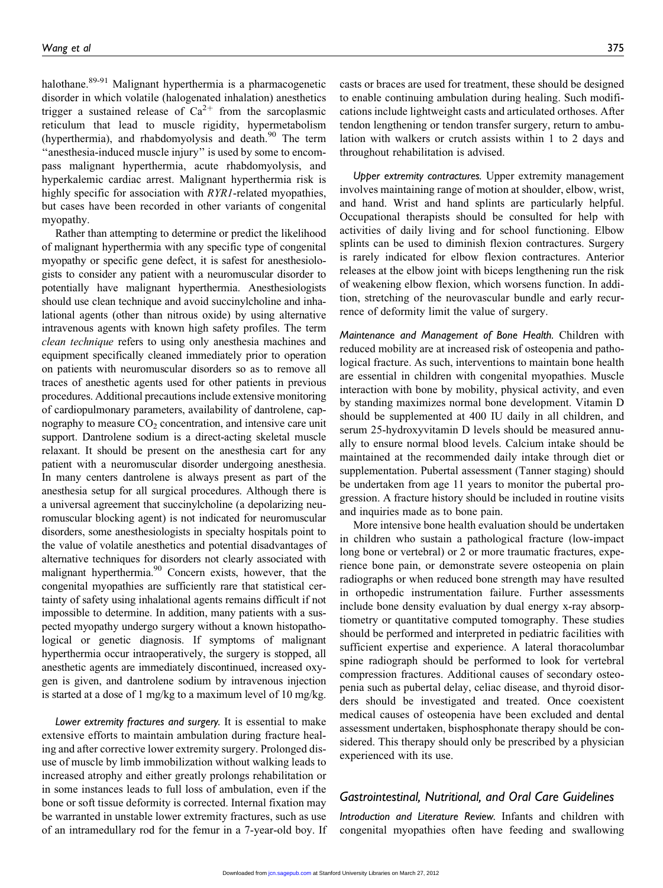halothane.<sup>89-91</sup> Malignant hyperthermia is a pharmacogenetic disorder in which volatile (halogenated inhalation) anesthetics trigger a sustained release of  $Ca^{2+}$  from the sarcoplasmic reticulum that lead to muscle rigidity, hypermetabolism (hyperthermia), and rhabdomyolysis and death. $90$  The term "anesthesia-induced muscle injury" is used by some to encompass malignant hyperthermia, acute rhabdomyolysis, and hyperkalemic cardiac arrest. Malignant hyperthermia risk is highly specific for association with RYR1-related myopathies, but cases have been recorded in other variants of congenital myopathy.

Rather than attempting to determine or predict the likelihood of malignant hyperthermia with any specific type of congenital myopathy or specific gene defect, it is safest for anesthesiologists to consider any patient with a neuromuscular disorder to potentially have malignant hyperthermia. Anesthesiologists should use clean technique and avoid succinylcholine and inhalational agents (other than nitrous oxide) by using alternative intravenous agents with known high safety profiles. The term clean technique refers to using only anesthesia machines and equipment specifically cleaned immediately prior to operation on patients with neuromuscular disorders so as to remove all traces of anesthetic agents used for other patients in previous procedures. Additional precautions include extensive monitoring of cardiopulmonary parameters, availability of dantrolene, capnography to measure  $CO<sub>2</sub>$  concentration, and intensive care unit support. Dantrolene sodium is a direct-acting skeletal muscle relaxant. It should be present on the anesthesia cart for any patient with a neuromuscular disorder undergoing anesthesia. In many centers dantrolene is always present as part of the anesthesia setup for all surgical procedures. Although there is a universal agreement that succinylcholine (a depolarizing neuromuscular blocking agent) is not indicated for neuromuscular disorders, some anesthesiologists in specialty hospitals point to the value of volatile anesthetics and potential disadvantages of alternative techniques for disorders not clearly associated with malignant hyperthermia.<sup>90</sup> Concern exists, however, that the congenital myopathies are sufficiently rare that statistical certainty of safety using inhalational agents remains difficult if not impossible to determine. In addition, many patients with a suspected myopathy undergo surgery without a known histopathological or genetic diagnosis. If symptoms of malignant hyperthermia occur intraoperatively, the surgery is stopped, all anesthetic agents are immediately discontinued, increased oxygen is given, and dantrolene sodium by intravenous injection is started at a dose of 1 mg/kg to a maximum level of 10 mg/kg.

Lower extremity fractures and surgery. It is essential to make extensive efforts to maintain ambulation during fracture healing and after corrective lower extremity surgery. Prolonged disuse of muscle by limb immobilization without walking leads to increased atrophy and either greatly prolongs rehabilitation or in some instances leads to full loss of ambulation, even if the bone or soft tissue deformity is corrected. Internal fixation may be warranted in unstable lower extremity fractures, such as use of an intramedullary rod for the femur in a 7-year-old boy. If casts or braces are used for treatment, these should be designed to enable continuing ambulation during healing. Such modifications include lightweight casts and articulated orthoses. After tendon lengthening or tendon transfer surgery, return to ambulation with walkers or crutch assists within 1 to 2 days and throughout rehabilitation is advised.

Upper extremity contractures. Upper extremity management involves maintaining range of motion at shoulder, elbow, wrist, and hand. Wrist and hand splints are particularly helpful. Occupational therapists should be consulted for help with activities of daily living and for school functioning. Elbow splints can be used to diminish flexion contractures. Surgery is rarely indicated for elbow flexion contractures. Anterior releases at the elbow joint with biceps lengthening run the risk of weakening elbow flexion, which worsens function. In addition, stretching of the neurovascular bundle and early recurrence of deformity limit the value of surgery.

Maintenance and Management of Bone Health. Children with reduced mobility are at increased risk of osteopenia and pathological fracture. As such, interventions to maintain bone health are essential in children with congenital myopathies. Muscle interaction with bone by mobility, physical activity, and even by standing maximizes normal bone development. Vitamin D should be supplemented at 400 IU daily in all children, and serum 25-hydroxyvitamin D levels should be measured annually to ensure normal blood levels. Calcium intake should be maintained at the recommended daily intake through diet or supplementation. Pubertal assessment (Tanner staging) should be undertaken from age 11 years to monitor the pubertal progression. A fracture history should be included in routine visits and inquiries made as to bone pain.

More intensive bone health evaluation should be undertaken in children who sustain a pathological fracture (low-impact long bone or vertebral) or 2 or more traumatic fractures, experience bone pain, or demonstrate severe osteopenia on plain radiographs or when reduced bone strength may have resulted in orthopedic instrumentation failure. Further assessments include bone density evaluation by dual energy x-ray absorptiometry or quantitative computed tomography. These studies should be performed and interpreted in pediatric facilities with sufficient expertise and experience. A lateral thoracolumbar spine radiograph should be performed to look for vertebral compression fractures. Additional causes of secondary osteopenia such as pubertal delay, celiac disease, and thyroid disorders should be investigated and treated. Once coexistent medical causes of osteopenia have been excluded and dental assessment undertaken, bisphosphonate therapy should be considered. This therapy should only be prescribed by a physician experienced with its use.

## Gastrointestinal, Nutritional, and Oral Care Guidelines

Introduction and Literature Review. Infants and children with congenital myopathies often have feeding and swallowing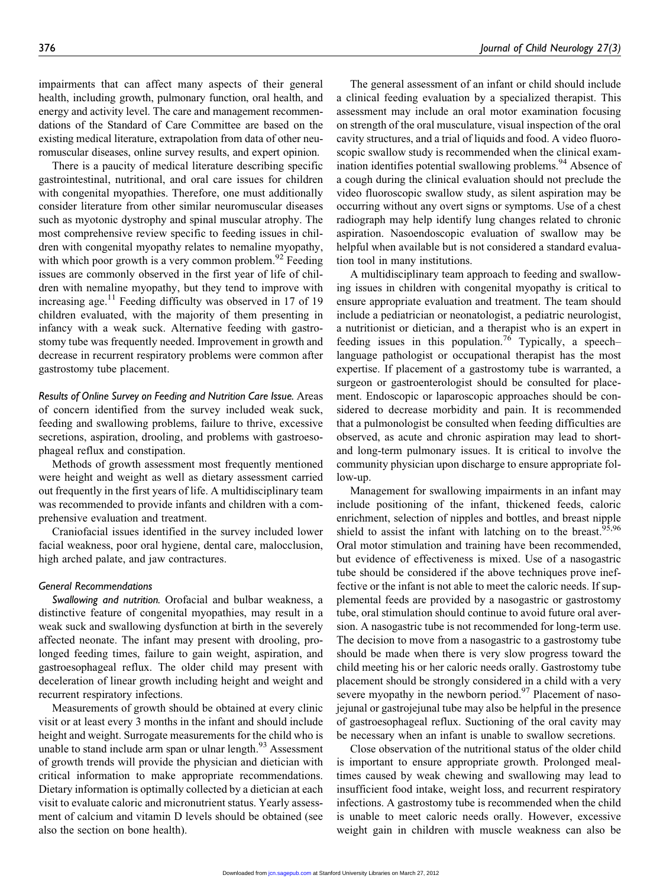impairments that can affect many aspects of their general health, including growth, pulmonary function, oral health, and energy and activity level. The care and management recommendations of the Standard of Care Committee are based on the existing medical literature, extrapolation from data of other neuromuscular diseases, online survey results, and expert opinion.

There is a paucity of medical literature describing specific gastrointestinal, nutritional, and oral care issues for children with congenital myopathies. Therefore, one must additionally consider literature from other similar neuromuscular diseases such as myotonic dystrophy and spinal muscular atrophy. The most comprehensive review specific to feeding issues in children with congenital myopathy relates to nemaline myopathy, with which poor growth is a very common problem. $92$  Feeding issues are commonly observed in the first year of life of children with nemaline myopathy, but they tend to improve with increasing age.<sup>11</sup> Feeding difficulty was observed in 17 of 19 children evaluated, with the majority of them presenting in infancy with a weak suck. Alternative feeding with gastrostomy tube was frequently needed. Improvement in growth and decrease in recurrent respiratory problems were common after gastrostomy tube placement.

Results of Online Survey on Feeding and Nutrition Care Issue. Areas of concern identified from the survey included weak suck, feeding and swallowing problems, failure to thrive, excessive secretions, aspiration, drooling, and problems with gastroesophageal reflux and constipation.

Methods of growth assessment most frequently mentioned were height and weight as well as dietary assessment carried out frequently in the first years of life. A multidisciplinary team was recommended to provide infants and children with a comprehensive evaluation and treatment.

Craniofacial issues identified in the survey included lower facial weakness, poor oral hygiene, dental care, malocclusion, high arched palate, and jaw contractures.

#### General Recommendations

Swallowing and nutrition. Orofacial and bulbar weakness, a distinctive feature of congenital myopathies, may result in a weak suck and swallowing dysfunction at birth in the severely affected neonate. The infant may present with drooling, prolonged feeding times, failure to gain weight, aspiration, and gastroesophageal reflux. The older child may present with deceleration of linear growth including height and weight and recurrent respiratory infections.

Measurements of growth should be obtained at every clinic visit or at least every 3 months in the infant and should include height and weight. Surrogate measurements for the child who is unable to stand include arm span or ulnar length.<sup>93</sup> Assessment of growth trends will provide the physician and dietician with critical information to make appropriate recommendations. Dietary information is optimally collected by a dietician at each visit to evaluate caloric and micronutrient status. Yearly assessment of calcium and vitamin D levels should be obtained (see also the section on bone health).

The general assessment of an infant or child should include a clinical feeding evaluation by a specialized therapist. This assessment may include an oral motor examination focusing on strength of the oral musculature, visual inspection of the oral cavity structures, and a trial of liquids and food. A video fluoroscopic swallow study is recommended when the clinical examination identifies potential swallowing problems.<sup>94</sup> Absence of a cough during the clinical evaluation should not preclude the video fluoroscopic swallow study, as silent aspiration may be occurring without any overt signs or symptoms. Use of a chest radiograph may help identify lung changes related to chronic aspiration. Nasoendoscopic evaluation of swallow may be helpful when available but is not considered a standard evaluation tool in many institutions.

A multidisciplinary team approach to feeding and swallowing issues in children with congenital myopathy is critical to ensure appropriate evaluation and treatment. The team should include a pediatrician or neonatologist, a pediatric neurologist, a nutritionist or dietician, and a therapist who is an expert in feeding issues in this population.<sup>76</sup> Typically, a speech– language pathologist or occupational therapist has the most expertise. If placement of a gastrostomy tube is warranted, a surgeon or gastroenterologist should be consulted for placement. Endoscopic or laparoscopic approaches should be considered to decrease morbidity and pain. It is recommended that a pulmonologist be consulted when feeding difficulties are observed, as acute and chronic aspiration may lead to shortand long-term pulmonary issues. It is critical to involve the community physician upon discharge to ensure appropriate follow-up.

Management for swallowing impairments in an infant may include positioning of the infant, thickened feeds, caloric enrichment, selection of nipples and bottles, and breast nipple shield to assist the infant with latching on to the breast.<sup>95,96</sup> Oral motor stimulation and training have been recommended, but evidence of effectiveness is mixed. Use of a nasogastric tube should be considered if the above techniques prove ineffective or the infant is not able to meet the caloric needs. If supplemental feeds are provided by a nasogastric or gastrostomy tube, oral stimulation should continue to avoid future oral aversion. A nasogastric tube is not recommended for long-term use. The decision to move from a nasogastric to a gastrostomy tube should be made when there is very slow progress toward the child meeting his or her caloric needs orally. Gastrostomy tube placement should be strongly considered in a child with a very severe myopathy in the newborn period. $97$  Placement of nasojejunal or gastrojejunal tube may also be helpful in the presence of gastroesophageal reflux. Suctioning of the oral cavity may be necessary when an infant is unable to swallow secretions.

Close observation of the nutritional status of the older child is important to ensure appropriate growth. Prolonged mealtimes caused by weak chewing and swallowing may lead to insufficient food intake, weight loss, and recurrent respiratory infections. A gastrostomy tube is recommended when the child is unable to meet caloric needs orally. However, excessive weight gain in children with muscle weakness can also be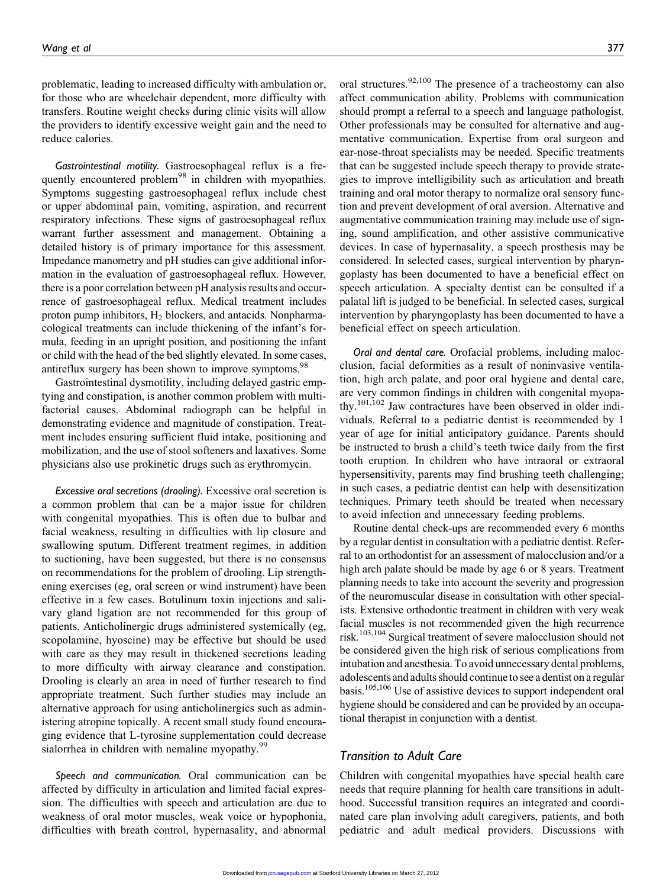problematic, leading to increased difficulty with ambulation or, for those who are wheelchair dependent, more difficulty with transfers. Routine weight checks during clinic visits will allow the providers to identify excessive weight gain and the need to reduce calories.

Gastrointestinal motility. Gastroesophageal reflux is a frequently encountered problem<sup>98</sup> in children with myopathies. Symptoms suggesting gastroesophageal reflux include chest or upper abdominal pain, vomiting, aspiration, and recurrent respiratory infections. These signs of gastroesophageal reflux warrant further assessment and management. Obtaining a detailed history is of primary importance for this assessment. Impedance manometry and pH studies can give additional information in the evaluation of gastroesophageal reflux. However, there is a poor correlation between pH analysis results and occurrence of gastroesophageal reflux. Medical treatment includes proton pump inhibitors,  $H_2$  blockers, and antacids. Nonpharmacological treatments can include thickening of the infant's formula, feeding in an upright position, and positioning the infant or child with the head of the bed slightly elevated. In some cases, antireflux surgery has been shown to improve symptoms.<sup>98</sup>

Gastrointestinal dysmotility, including delayed gastric emptying and constipation, is another common problem with multifactorial causes. Abdominal radiograph can be helpful in demonstrating evidence and magnitude of constipation. Treatment includes ensuring sufficient fluid intake, positioning and mobilization, and the use of stool softeners and laxatives. Some physicians also use prokinetic drugs such as erythromycin.

Excessive oral secretions (drooling). Excessive oral secretion is a common problem that can be a major issue for children with congenital myopathies. This is often due to bulbar and facial weakness, resulting in difficulties with lip closure and swallowing sputum. Different treatment regimes, in addition to suctioning, have been suggested, but there is no consensus on recommendations for the problem of drooling. Lip strengthening exercises (eg, oral screen or wind instrument) have been effective in a few cases. Botulinum toxin injections and salivary gland ligation are not recommended for this group of patients. Anticholinergic drugs administered systemically (eg, scopolamine, hyoscine) may be effective but should be used with care as they may result in thickened secretions leading to more difficulty with airway clearance and constipation. Drooling is clearly an area in need of further research to find appropriate treatment. Such further studies may include an alternative approach for using anticholinergics such as administering atropine topically. A recent small study found encouraging evidence that L-tyrosine supplementation could decrease sialorrhea in children with nemaline myopathy.<sup>99</sup>

Speech and communication. Oral communication can be affected by difficulty in articulation and limited facial expression. The difficulties with speech and articulation are due to weakness of oral motor muscles, weak voice or hypophonia, difficulties with breath control, hypernasality, and abnormal

oral structures.<sup>92,100</sup> The presence of a tracheostomy can also affect communication ability. Problems with communication should prompt a referral to a speech and language pathologist. Other professionals may be consulted for alternative and augmentative communication. Expertise from oral surgeon and ear-nose-throat specialists may be needed. Specific treatments that can be suggested include speech therapy to provide strategies to improve intelligibility such as articulation and breath training and oral motor therapy to normalize oral sensory function and prevent development of oral aversion. Alternative and augmentative communication training may include use of signing, sound amplification, and other assistive communicative devices. In case of hypernasality, a speech prosthesis may be considered. In selected cases, surgical intervention by pharyngoplasty has been documented to have a beneficial effect on speech articulation. A specialty dentist can be consulted if a palatal lift is judged to be beneficial. In selected cases, surgical intervention by pharyngoplasty has been documented to have a beneficial effect on speech articulation.

Oral and dental care. Orofacial problems, including malocclusion, facial deformities as a result of noninvasive ventilation, high arch palate, and poor oral hygiene and dental care, are very common findings in children with congenital myopathy.<sup>101,102</sup> Jaw contractures have been observed in older individuals. Referral to a pediatric dentist is recommended by 1 year of age for initial anticipatory guidance. Parents should be instructed to brush a child's teeth twice daily from the first tooth eruption. In children who have intraoral or extraoral hypersensitivity, parents may find brushing teeth challenging; in such cases, a pediatric dentist can help with desensitization techniques. Primary teeth should be treated when necessary to avoid infection and unnecessary feeding problems.

Routine dental check-ups are recommended every 6 months by a regular dentist in consultation with a pediatric dentist. Referral to an orthodontist for an assessment of malocclusion and/or a high arch palate should be made by age 6 or 8 years. Treatment planning needs to take into account the severity and progression of the neuromuscular disease in consultation with other specialists. Extensive orthodontic treatment in children with very weak facial muscles is not recommended given the high recurrence risk.<sup>103,104</sup> Surgical treatment of severe malocclusion should not be considered given the high risk of serious complications from intubation and anesthesia. To avoid unnecessary dental problems, adolescents and adults should continue to see a dentist on a regular basis.105,106 Use of assistive devices to support independent oral hygiene should be considered and can be provided by an occupational therapist in conjunction with a dentist.

### Transition to Adult Care

Children with congenital myopathies have special health care needs that require planning for health care transitions in adulthood. Successful transition requires an integrated and coordinated care plan involving adult caregivers, patients, and both pediatric and adult medical providers. Discussions with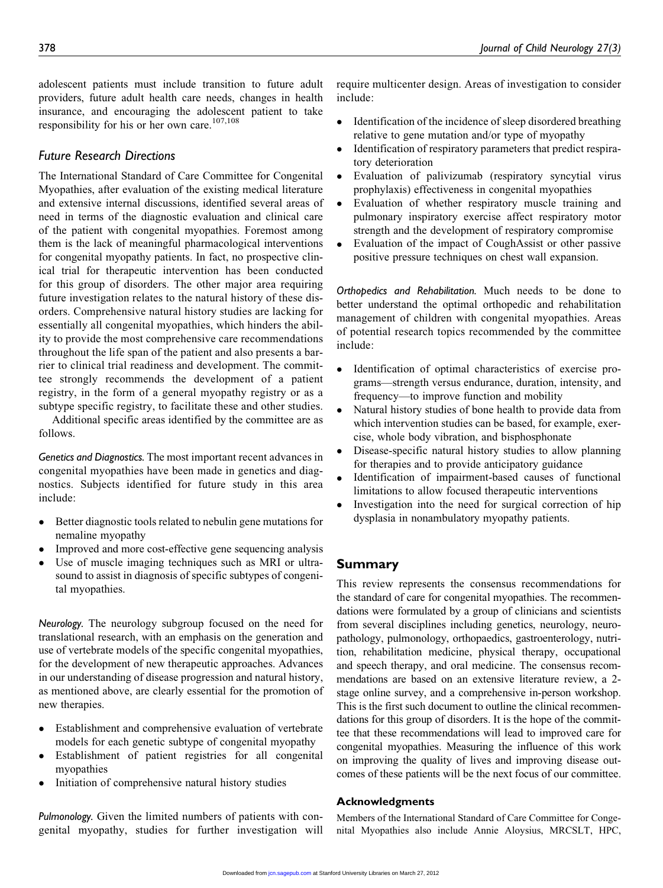adolescent patients must include transition to future adult providers, future adult health care needs, changes in health insurance, and encouraging the adolescent patient to take responsibility for his or her own care.<sup>107,108</sup>

#### Future Research Directions

The International Standard of Care Committee for Congenital Myopathies, after evaluation of the existing medical literature and extensive internal discussions, identified several areas of need in terms of the diagnostic evaluation and clinical care of the patient with congenital myopathies. Foremost among them is the lack of meaningful pharmacological interventions for congenital myopathy patients. In fact, no prospective clinical trial for therapeutic intervention has been conducted for this group of disorders. The other major area requiring future investigation relates to the natural history of these disorders. Comprehensive natural history studies are lacking for essentially all congenital myopathies, which hinders the ability to provide the most comprehensive care recommendations throughout the life span of the patient and also presents a barrier to clinical trial readiness and development. The committee strongly recommends the development of a patient registry, in the form of a general myopathy registry or as a subtype specific registry, to facilitate these and other studies.

Additional specific areas identified by the committee are as follows.

Genetics and Diagnostics. The most important recent advances in congenital myopathies have been made in genetics and diagnostics. Subjects identified for future study in this area include:

- $\bullet$  Better diagnostic tools related to nebulin gene mutations for nemaline myopathy
- $\bullet$ Improved and more cost-effective gene sequencing analysis
- $\bullet$  Use of muscle imaging techniques such as MRI or ultrasound to assist in diagnosis of specific subtypes of congenital myopathies.

Neurology. The neurology subgroup focused on the need for translational research, with an emphasis on the generation and use of vertebrate models of the specific congenital myopathies, for the development of new therapeutic approaches. Advances in our understanding of disease progression and natural history, as mentioned above, are clearly essential for the promotion of new therapies.

- $\bullet$  Establishment and comprehensive evaluation of vertebrate models for each genetic subtype of congenital myopathy
- $\bullet$  Establishment of patient registries for all congenital myopathies
- $\bullet$ Initiation of comprehensive natural history studies

Pulmonology. Given the limited numbers of patients with congenital myopathy, studies for further investigation will require multicenter design. Areas of investigation to consider include:

- $\bullet$  Identification of the incidence of sleep disordered breathing relative to gene mutation and/or type of myopathy
- $\bullet$  Identification of respiratory parameters that predict respiratory deterioration
- $\bullet$  Evaluation of palivizumab (respiratory syncytial virus prophylaxis) effectiveness in congenital myopathies
- $\bullet$  Evaluation of whether respiratory muscle training and pulmonary inspiratory exercise affect respiratory motor strength and the development of respiratory compromise
- $\bullet$  Evaluation of the impact of CoughAssist or other passive positive pressure techniques on chest wall expansion.

Orthopedics and Rehabilitation. Much needs to be done to better understand the optimal orthopedic and rehabilitation management of children with congenital myopathies. Areas of potential research topics recommended by the committee include:

- $\bullet$  Identification of optimal characteristics of exercise programs—strength versus endurance, duration, intensity, and frequency—to improve function and mobility
- $\bullet$  Natural history studies of bone health to provide data from which intervention studies can be based, for example, exercise, whole body vibration, and bisphosphonate
- $\bullet$  Disease-specific natural history studies to allow planning for therapies and to provide anticipatory guidance
- $\bullet$  Identification of impairment-based causes of functional limitations to allow focused therapeutic interventions
- $\bullet$  Investigation into the need for surgical correction of hip dysplasia in nonambulatory myopathy patients.

#### Summary

This review represents the consensus recommendations for the standard of care for congenital myopathies. The recommendations were formulated by a group of clinicians and scientists from several disciplines including genetics, neurology, neuropathology, pulmonology, orthopaedics, gastroenterology, nutrition, rehabilitation medicine, physical therapy, occupational and speech therapy, and oral medicine. The consensus recommendations are based on an extensive literature review, a 2 stage online survey, and a comprehensive in-person workshop. This is the first such document to outline the clinical recommendations for this group of disorders. It is the hope of the committee that these recommendations will lead to improved care for congenital myopathies. Measuring the influence of this work on improving the quality of lives and improving disease outcomes of these patients will be the next focus of our committee.

#### Acknowledgments

Members of the International Standard of Care Committee for Congenital Myopathies also include Annie Aloysius, MRCSLT, HPC,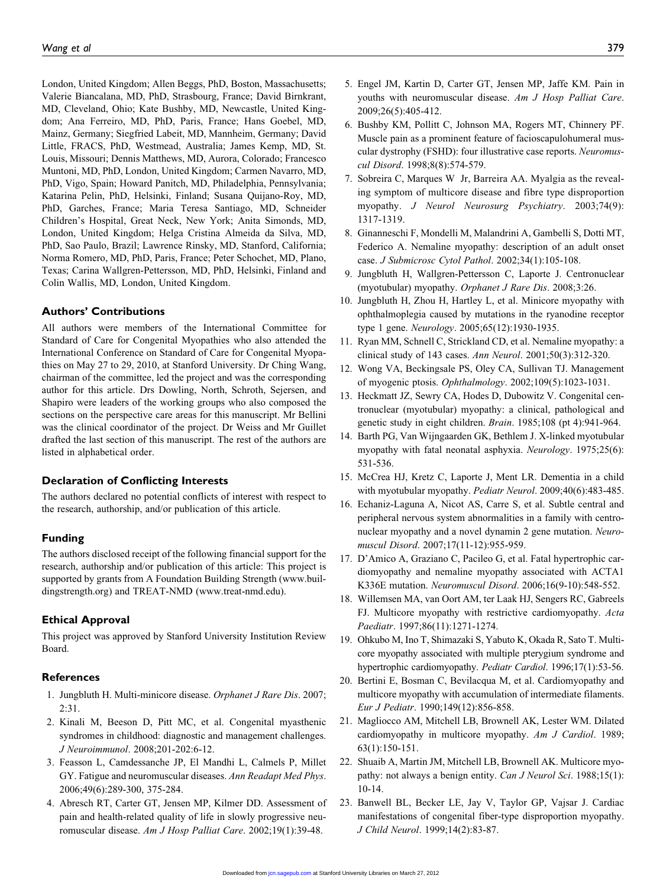London, United Kingdom; Allen Beggs, PhD, Boston, Massachusetts; Valerie Biancalana, MD, PhD, Strasbourg, France; David Birnkrant, MD, Cleveland, Ohio; Kate Bushby, MD, Newcastle, United Kingdom; Ana Ferreiro, MD, PhD, Paris, France; Hans Goebel, MD, Mainz, Germany; Siegfried Labeit, MD, Mannheim, Germany; David Little, FRACS, PhD, Westmead, Australia; James Kemp, MD, St. Louis, Missouri; Dennis Matthews, MD, Aurora, Colorado; Francesco Muntoni, MD, PhD, London, United Kingdom; Carmen Navarro, MD, PhD, Vigo, Spain; Howard Panitch, MD, Philadelphia, Pennsylvania; Katarina Pelin, PhD, Helsinki, Finland; Susana Quijano-Roy, MD, PhD, Garches, France; Maria Teresa Santiago, MD, Schneider Children's Hospital, Great Neck, New York; Anita Simonds, MD, London, United Kingdom; Helga Cristina Almeida da Silva, MD, PhD, Sao Paulo, Brazil; Lawrence Rinsky, MD, Stanford, California; Norma Romero, MD, PhD, Paris, France; Peter Schochet, MD, Plano, Texas; Carina Wallgren-Pettersson, MD, PhD, Helsinki, Finland and Colin Wallis, MD, London, United Kingdom.

#### Authors' Contributions

All authors were members of the International Committee for Standard of Care for Congenital Myopathies who also attended the International Conference on Standard of Care for Congenital Myopathies on May 27 to 29, 2010, at Stanford University. Dr Ching Wang, chairman of the committee, led the project and was the corresponding author for this article. Drs Dowling, North, Schroth, Sejersen, and Shapiro were leaders of the working groups who also composed the sections on the perspective care areas for this manuscript. Mr Bellini was the clinical coordinator of the project. Dr Weiss and Mr Guillet drafted the last section of this manuscript. The rest of the authors are listed in alphabetical order.

#### Declaration of Conflicting Interests

The authors declared no potential conflicts of interest with respect to the research, authorship, and/or publication of this article.

#### Funding

The authors disclosed receipt of the following financial support for the research, authorship and/or publication of this article: This project is supported by grants from A Foundation Building Strength (www.buildingstrength.org) and TREAT-NMD (www.treat-nmd.edu).

#### Ethical Approval

This project was approved by Stanford University Institution Review Board.

#### References

- 1. Jungbluth H. Multi-minicore disease. Orphanet J Rare Dis. 2007; 2:31.
- 2. Kinali M, Beeson D, Pitt MC, et al. Congenital myasthenic syndromes in childhood: diagnostic and management challenges. J Neuroimmunol. 2008;201-202:6-12.
- 3. Feasson L, Camdessanche JP, El Mandhi L, Calmels P, Millet GY. Fatigue and neuromuscular diseases. Ann Readapt Med Phys. 2006;49(6):289-300, 375-284.
- 4. Abresch RT, Carter GT, Jensen MP, Kilmer DD. Assessment of pain and health-related quality of life in slowly progressive neuromuscular disease. Am J Hosp Palliat Care. 2002;19(1):39-48.
- 5. Engel JM, Kartin D, Carter GT, Jensen MP, Jaffe KM. Pain in youths with neuromuscular disease. Am J Hosp Palliat Care. 2009;26(5):405-412.
- 6. Bushby KM, Pollitt C, Johnson MA, Rogers MT, Chinnery PF. Muscle pain as a prominent feature of facioscapulohumeral muscular dystrophy (FSHD): four illustrative case reports. Neuromuscul Disord. 1998;8(8):574-579.
- 7. Sobreira C, Marques W Jr, Barreira AA. Myalgia as the revealing symptom of multicore disease and fibre type disproportion myopathy. J Neurol Neurosurg Psychiatry. 2003;74(9): 1317-1319.
- 8. Ginanneschi F, Mondelli M, Malandrini A, Gambelli S, Dotti MT, Federico A. Nemaline myopathy: description of an adult onset case. J Submicrosc Cytol Pathol. 2002;34(1):105-108.
- 9. Jungbluth H, Wallgren-Pettersson C, Laporte J. Centronuclear (myotubular) myopathy. Orphanet J Rare Dis. 2008;3:26.
- 10. Jungbluth H, Zhou H, Hartley L, et al. Minicore myopathy with ophthalmoplegia caused by mutations in the ryanodine receptor type 1 gene. Neurology. 2005;65(12):1930-1935.
- 11. Ryan MM, Schnell C, Strickland CD, et al. Nemaline myopathy: a clinical study of 143 cases. Ann Neurol. 2001;50(3):312-320.
- 12. Wong VA, Beckingsale PS, Oley CA, Sullivan TJ. Management of myogenic ptosis. Ophthalmology. 2002;109(5):1023-1031.
- 13. Heckmatt JZ, Sewry CA, Hodes D, Dubowitz V. Congenital centronuclear (myotubular) myopathy: a clinical, pathological and genetic study in eight children. Brain. 1985;108 (pt 4):941-964.
- 14. Barth PG, Van Wijngaarden GK, Bethlem J. X-linked myotubular myopathy with fatal neonatal asphyxia. Neurology. 1975;25(6): 531-536.
- 15. McCrea HJ, Kretz C, Laporte J, Ment LR. Dementia in a child with myotubular myopathy. Pediatr Neurol. 2009;40(6):483-485.
- 16. Echaniz-Laguna A, Nicot AS, Carre S, et al. Subtle central and peripheral nervous system abnormalities in a family with centronuclear myopathy and a novel dynamin 2 gene mutation. Neuromuscul Disord. 2007;17(11-12):955-959.
- 17. D'Amico A, Graziano C, Pacileo G, et al. Fatal hypertrophic cardiomyopathy and nemaline myopathy associated with ACTA1 K336E mutation. Neuromuscul Disord. 2006;16(9-10):548-552.
- 18. Willemsen MA, van Oort AM, ter Laak HJ, Sengers RC, Gabreels FJ. Multicore myopathy with restrictive cardiomyopathy. Acta Paediatr. 1997;86(11):1271-1274.
- 19. Ohkubo M, Ino T, Shimazaki S, Yabuto K, Okada R, Sato T. Multicore myopathy associated with multiple pterygium syndrome and hypertrophic cardiomyopathy. Pediatr Cardiol. 1996;17(1):53-56.
- 20. Bertini E, Bosman C, Bevilacqua M, et al. Cardiomyopathy and multicore myopathy with accumulation of intermediate filaments. Eur J Pediatr. 1990;149(12):856-858.
- 21. Magliocco AM, Mitchell LB, Brownell AK, Lester WM. Dilated cardiomyopathy in multicore myopathy. Am J Cardiol. 1989; 63(1):150-151.
- 22. Shuaib A, Martin JM, Mitchell LB, Brownell AK. Multicore myopathy: not always a benign entity. Can J Neurol Sci. 1988;15(1): 10-14.
- 23. Banwell BL, Becker LE, Jay V, Taylor GP, Vajsar J. Cardiac manifestations of congenital fiber-type disproportion myopathy. J Child Neurol. 1999;14(2):83-87.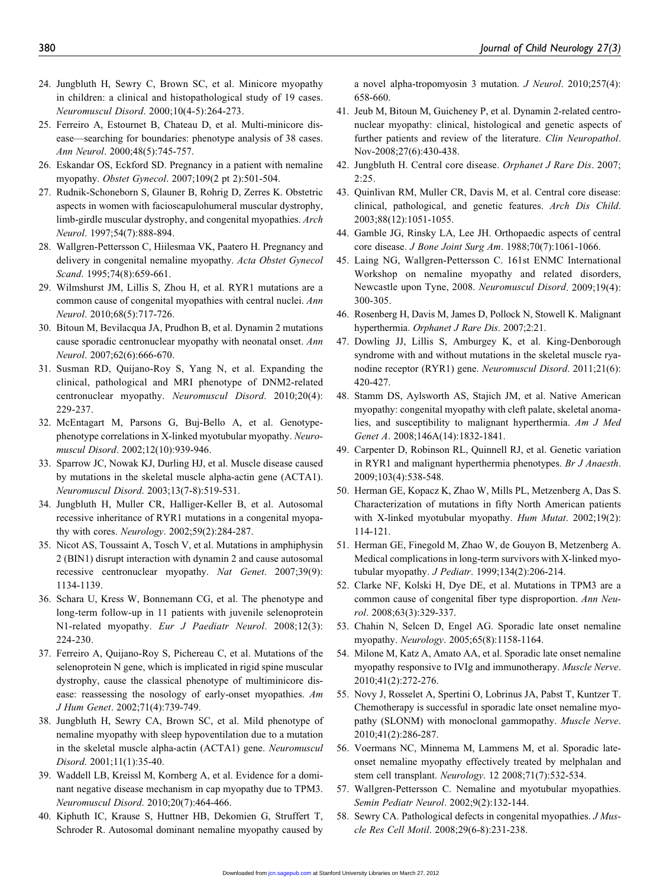- 24. Jungbluth H, Sewry C, Brown SC, et al. Minicore myopathy in children: a clinical and histopathological study of 19 cases. Neuromuscul Disord. 2000;10(4-5):264-273.
- 25. Ferreiro A, Estournet B, Chateau D, et al. Multi-minicore disease—searching for boundaries: phenotype analysis of 38 cases. Ann Neurol. 2000;48(5):745-757.
- 26. Eskandar OS, Eckford SD. Pregnancy in a patient with nemaline myopathy. Obstet Gynecol. 2007;109(2 pt 2):501-504.
- 27. Rudnik-Schoneborn S, Glauner B, Rohrig D, Zerres K. Obstetric aspects in women with facioscapulohumeral muscular dystrophy, limb-girdle muscular dystrophy, and congenital myopathies. Arch Neurol. 1997;54(7):888-894.
- 28. Wallgren-Pettersson C, Hiilesmaa VK, Paatero H. Pregnancy and delivery in congenital nemaline myopathy. Acta Obstet Gynecol Scand. 1995;74(8):659-661.
- 29. Wilmshurst JM, Lillis S, Zhou H, et al. RYR1 mutations are a common cause of congenital myopathies with central nuclei. Ann Neurol. 2010;68(5):717-726.
- 30. Bitoun M, Bevilacqua JA, Prudhon B, et al. Dynamin 2 mutations cause sporadic centronuclear myopathy with neonatal onset. Ann Neurol. 2007;62(6):666-670.
- 31. Susman RD, Quijano-Roy S, Yang N, et al. Expanding the clinical, pathological and MRI phenotype of DNM2-related centronuclear myopathy. Neuromuscul Disord. 2010;20(4): 229-237.
- 32. McEntagart M, Parsons G, Buj-Bello A, et al. Genotypephenotype correlations in X-linked myotubular myopathy. Neuromuscul Disord. 2002;12(10):939-946.
- 33. Sparrow JC, Nowak KJ, Durling HJ, et al. Muscle disease caused by mutations in the skeletal muscle alpha-actin gene (ACTA1). Neuromuscul Disord. 2003;13(7-8):519-531.
- 34. Jungbluth H, Muller CR, Halliger-Keller B, et al. Autosomal recessive inheritance of RYR1 mutations in a congenital myopathy with cores. Neurology. 2002;59(2):284-287.
- 35. Nicot AS, Toussaint A, Tosch V, et al. Mutations in amphiphysin 2 (BIN1) disrupt interaction with dynamin 2 and cause autosomal recessive centronuclear myopathy. Nat Genet. 2007;39(9): 1134-1139.
- 36. Schara U, Kress W, Bonnemann CG, et al. The phenotype and long-term follow-up in 11 patients with juvenile selenoprotein N1-related myopathy. Eur J Paediatr Neurol. 2008;12(3): 224-230.
- 37. Ferreiro A, Quijano-Roy S, Pichereau C, et al. Mutations of the selenoprotein N gene, which is implicated in rigid spine muscular dystrophy, cause the classical phenotype of multiminicore disease: reassessing the nosology of early-onset myopathies. Am J Hum Genet. 2002;71(4):739-749.
- 38. Jungbluth H, Sewry CA, Brown SC, et al. Mild phenotype of nemaline myopathy with sleep hypoventilation due to a mutation in the skeletal muscle alpha-actin (ACTA1) gene. Neuromuscul Disord. 2001;11(1):35-40.
- 39. Waddell LB, Kreissl M, Kornberg A, et al. Evidence for a dominant negative disease mechanism in cap myopathy due to TPM3. Neuromuscul Disord. 2010;20(7):464-466.
- 40. Kiphuth IC, Krause S, Huttner HB, Dekomien G, Struffert T, Schroder R. Autosomal dominant nemaline myopathy caused by

a novel alpha-tropomyosin 3 mutation. J Neurol. 2010;257(4): 658-660.

- 41. Jeub M, Bitoun M, Guicheney P, et al. Dynamin 2-related centronuclear myopathy: clinical, histological and genetic aspects of further patients and review of the literature. Clin Neuropathol. Nov-2008;27(6):430-438.
- 42. Jungbluth H. Central core disease. Orphanet J Rare Dis. 2007; 2:25.
- 43. Quinlivan RM, Muller CR, Davis M, et al. Central core disease: clinical, pathological, and genetic features. Arch Dis Child. 2003;88(12):1051-1055.
- 44. Gamble JG, Rinsky LA, Lee JH. Orthopaedic aspects of central core disease. J Bone Joint Surg Am. 1988;70(7):1061-1066.
- 45. Laing NG, Wallgren-Pettersson C. 161st ENMC International Workshop on nemaline myopathy and related disorders, Newcastle upon Tyne, 2008. Neuromuscul Disord. 2009;19(4): 300-305.
- 46. Rosenberg H, Davis M, James D, Pollock N, Stowell K. Malignant hyperthermia. Orphanet J Rare Dis. 2007;2:21.
- 47. Dowling JJ, Lillis S, Amburgey K, et al. King-Denborough syndrome with and without mutations in the skeletal muscle ryanodine receptor (RYR1) gene. Neuromuscul Disord. 2011;21(6): 420-427.
- 48. Stamm DS, Aylsworth AS, Stajich JM, et al. Native American myopathy: congenital myopathy with cleft palate, skeletal anomalies, and susceptibility to malignant hyperthermia. Am J Med Genet A. 2008;146A(14):1832-1841.
- 49. Carpenter D, Robinson RL, Quinnell RJ, et al. Genetic variation in RYR1 and malignant hyperthermia phenotypes. Br J Anaesth. 2009;103(4):538-548.
- 50. Herman GE, Kopacz K, Zhao W, Mills PL, Metzenberg A, Das S. Characterization of mutations in fifty North American patients with X-linked myotubular myopathy. Hum Mutat. 2002;19(2): 114-121.
- 51. Herman GE, Finegold M, Zhao W, de Gouyon B, Metzenberg A. Medical complications in long-term survivors with X-linked myotubular myopathy. J Pediatr. 1999;134(2):206-214.
- 52. Clarke NF, Kolski H, Dye DE, et al. Mutations in TPM3 are a common cause of congenital fiber type disproportion. Ann Neurol. 2008;63(3):329-337.
- 53. Chahin N, Selcen D, Engel AG. Sporadic late onset nemaline myopathy. Neurology. 2005;65(8):1158-1164.
- 54. Milone M, Katz A, Amato AA, et al. Sporadic late onset nemaline myopathy responsive to IVIg and immunotherapy. Muscle Nerve. 2010;41(2):272-276.
- 55. Novy J, Rosselet A, Spertini O, Lobrinus JA, Pabst T, Kuntzer T. Chemotherapy is successful in sporadic late onset nemaline myopathy (SLONM) with monoclonal gammopathy. Muscle Nerve. 2010;41(2):286-287.
- 56. Voermans NC, Minnema M, Lammens M, et al. Sporadic lateonset nemaline myopathy effectively treated by melphalan and stem cell transplant. Neurology. 12 2008;71(7):532-534.
- 57. Wallgren-Pettersson C. Nemaline and myotubular myopathies. Semin Pediatr Neurol. 2002;9(2):132-144.
- 58. Sewry CA. Pathological defects in congenital myopathies. J Muscle Res Cell Motil. 2008;29(6-8):231-238.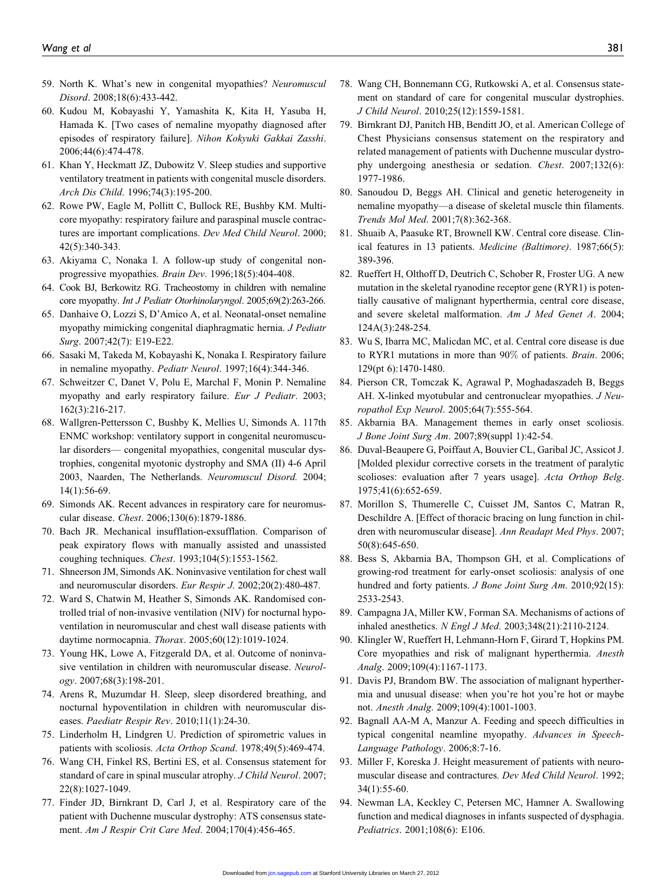- 59. North K. What's new in congenital myopathies? Neuromuscul Disord. 2008;18(6):433-442.
- 60. Kudou M, Kobayashi Y, Yamashita K, Kita H, Yasuba H, Hamada K. [Two cases of nemaline myopathy diagnosed after episodes of respiratory failure]. Nihon Kokyuki Gakkai Zasshi. 2006;44(6):474-478.
- 61. Khan Y, Heckmatt JZ, Dubowitz V. Sleep studies and supportive ventilatory treatment in patients with congenital muscle disorders. Arch Dis Child. 1996;74(3):195-200.
- 62. Rowe PW, Eagle M, Pollitt C, Bullock RE, Bushby KM. Multicore myopathy: respiratory failure and paraspinal muscle contractures are important complications. Dev Med Child Neurol. 2000; 42(5):340-343.
- 63. Akiyama C, Nonaka I. A follow-up study of congenital nonprogressive myopathies. Brain Dev. 1996;18(5):404-408.
- 64. Cook BJ, Berkowitz RG. Tracheostomy in children with nemaline core myopathy. Int J Pediatr Otorhinolaryngol. 2005;69(2):263-266.
- 65. Danhaive O, Lozzi S, D'Amico A, et al. Neonatal-onset nemaline myopathy mimicking congenital diaphragmatic hernia. J Pediatr Surg. 2007;42(7): E19-E22.
- 66. Sasaki M, Takeda M, Kobayashi K, Nonaka I. Respiratory failure in nemaline myopathy. Pediatr Neurol. 1997;16(4):344-346.
- 67. Schweitzer C, Danet V, Polu E, Marchal F, Monin P. Nemaline myopathy and early respiratory failure. Eur J Pediatr. 2003; 162(3):216-217.
- 68. Wallgren-Pettersson C, Bushby K, Mellies U, Simonds A. 117th ENMC workshop: ventilatory support in congenital neuromuscular disorders— congenital myopathies, congenital muscular dystrophies, congenital myotonic dystrophy and SMA (II) 4-6 April 2003, Naarden, The Netherlands. Neuromuscul Disord. 2004; 14(1):56-69.
- 69. Simonds AK. Recent advances in respiratory care for neuromuscular disease. Chest. 2006;130(6):1879-1886.
- 70. Bach JR. Mechanical insufflation-exsufflation. Comparison of peak expiratory flows with manually assisted and unassisted coughing techniques. Chest. 1993;104(5):1553-1562.
- 71. Shneerson JM, Simonds AK. Noninvasive ventilation for chest wall and neuromuscular disorders. Eur Respir J. 2002;20(2):480-487.
- 72. Ward S, Chatwin M, Heather S, Simonds AK. Randomised controlled trial of non-invasive ventilation (NIV) for nocturnal hypoventilation in neuromuscular and chest wall disease patients with daytime normocapnia. Thorax. 2005;60(12):1019-1024.
- 73. Young HK, Lowe A, Fitzgerald DA, et al. Outcome of noninvasive ventilation in children with neuromuscular disease. Neurol $ogy. 2007;68(3):198-201.$
- 74. Arens R, Muzumdar H. Sleep, sleep disordered breathing, and nocturnal hypoventilation in children with neuromuscular diseases. Paediatr Respir Rev. 2010;11(1):24-30.
- 75. Linderholm H, Lindgren U. Prediction of spirometric values in patients with scoliosis. Acta Orthop Scand. 1978;49(5):469-474.
- 76. Wang CH, Finkel RS, Bertini ES, et al. Consensus statement for standard of care in spinal muscular atrophy. J Child Neurol. 2007; 22(8):1027-1049.
- 77. Finder JD, Birnkrant D, Carl J, et al. Respiratory care of the patient with Duchenne muscular dystrophy: ATS consensus statement. Am J Respir Crit Care Med. 2004;170(4):456-465.
- 78. Wang CH, Bonnemann CG, Rutkowski A, et al. Consensus statement on standard of care for congenital muscular dystrophies. J Child Neurol. 2010;25(12):1559-1581.
- 79. Birnkrant DJ, Panitch HB, Benditt JO, et al. American College of Chest Physicians consensus statement on the respiratory and related management of patients with Duchenne muscular dystrophy undergoing anesthesia or sedation. Chest. 2007;132(6): 1977-1986.
- 80. Sanoudou D, Beggs AH. Clinical and genetic heterogeneity in nemaline myopathy—a disease of skeletal muscle thin filaments. Trends Mol Med. 2001;7(8):362-368.
- 81. Shuaib A, Paasuke RT, Brownell KW. Central core disease. Clinical features in 13 patients. Medicine (Baltimore). 1987;66(5): 389-396.
- 82. Rueffert H, Olthoff D, Deutrich C, Schober R, Froster UG. A new mutation in the skeletal ryanodine receptor gene (RYR1) is potentially causative of malignant hyperthermia, central core disease, and severe skeletal malformation. Am J Med Genet A. 2004; 124A(3):248-254.
- 83. Wu S, Ibarra MC, Malicdan MC, et al. Central core disease is due to RYR1 mutations in more than 90% of patients. Brain. 2006; 129(pt 6):1470-1480.
- 84. Pierson CR, Tomczak K, Agrawal P, Moghadaszadeh B, Beggs AH. X-linked myotubular and centronuclear myopathies. *J Neu*ropathol Exp Neurol. 2005;64(7):555-564.
- 85. Akbarnia BA. Management themes in early onset scoliosis. J Bone Joint Surg Am. 2007;89(suppl 1):42-54.
- 86. Duval-Beaupere G, Poiffaut A, Bouvier CL, Garibal JC, Assicot J. [Molded plexidur corrective corsets in the treatment of paralytic scolioses: evaluation after 7 years usage]. Acta Orthop Belg. 1975;41(6):652-659.
- 87. Morillon S, Thumerelle C, Cuisset JM, Santos C, Matran R, Deschildre A. [Effect of thoracic bracing on lung function in children with neuromuscular disease]. Ann Readapt Med Phys. 2007; 50(8):645-650.
- 88. Bess S, Akbarnia BA, Thompson GH, et al. Complications of growing-rod treatment for early-onset scoliosis: analysis of one hundred and forty patients. *J Bone Joint Surg Am.* 2010;92(15): 2533-2543.
- 89. Campagna JA, Miller KW, Forman SA. Mechanisms of actions of inhaled anesthetics. N Engl J Med. 2003;348(21):2110-2124.
- 90. Klingler W, Rueffert H, Lehmann-Horn F, Girard T, Hopkins PM. Core myopathies and risk of malignant hyperthermia. Anesth Analg. 2009;109(4):1167-1173.
- 91. Davis PJ, Brandom BW. The association of malignant hyperthermia and unusual disease: when you're hot you're hot or maybe not. Anesth Analg. 2009;109(4):1001-1003.
- 92. Bagnall AA-M A, Manzur A. Feeding and speech difficulties in typical congenital neamline myopathy. Advances in Speech-Language Pathology. 2006;8:7-16.
- 93. Miller F, Koreska J. Height measurement of patients with neuromuscular disease and contractures. Dev Med Child Neurol. 1992; 34(1):55-60.
- 94. Newman LA, Keckley C, Petersen MC, Hamner A. Swallowing function and medical diagnoses in infants suspected of dysphagia. Pediatrics. 2001;108(6): E106.